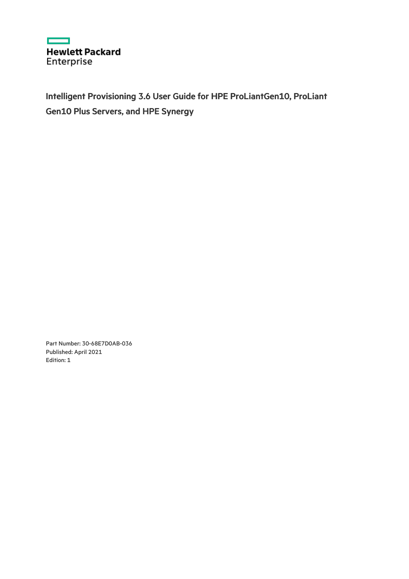

Intelligent Provisioning 3.6 User Guide for HPE ProLiantGen10, ProLiant Gen10 Plus Servers, and HPE Synergy

Part Number: 30-68E7D0AB-036 Published: April 2021 Edition: 1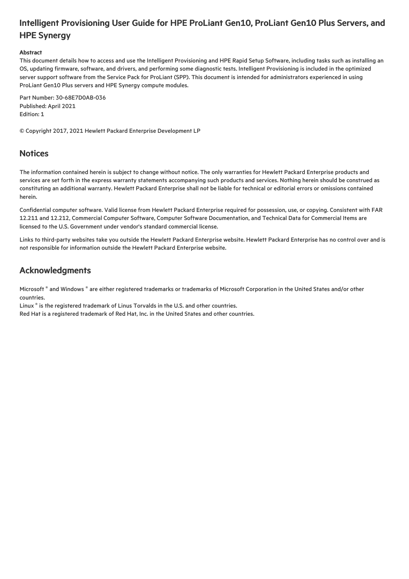# Intelligent Provisioning User Guide for HPE ProLiant Gen10, ProLiant Gen10 Plus Servers, and HPE Synergy

#### Abstract

This document details how to access and use the Intelligent Provisioning and HPE Rapid Setup Software, including tasks such as installing an OS, updating firmware, software, and drivers, and performing some diagnostic tests. Intelligent Provisioning is included in the optimized server support software from the Service Pack for ProLiant (SPP). This document is intended for administrators experienced in using ProLiant Gen10 Plus servers and HPE Synergy compute modules.

Part Number: 30-68E7D0AB-036 Published: April 2021 Edition: 1

© Copyright 2017, 2021 Hewlett Packard Enterprise Development LP

### **Notices**

The information contained herein is subject to change without notice. The only warranties for Hewlett Packard Enterprise products and services are set forth in the express warranty statements accompanying such products and services. Nothing herein should be construed as constituting an additional warranty. Hewlett Packard Enterprise shall not be liable for technical or editorial errors or omissions contained herein.

Confidential computer software. Valid license from Hewlett Packard Enterprise required for possession, use, or copying. Consistent with FAR 12.211 and 12.212, Commercial Computer Software, Computer Software Documentation, and Technical Data for Commercial Items are licensed to the U.S. Government under vendor's standard commercial license.

Links to third-party websites take you outside the Hewlett Packard Enterprise website. Hewlett Packard Enterprise has no control over and is not responsible for information outside the Hewlett Packard Enterprise website.

### Acknowledgments

Microsoft ® and Windows ® are either registered trademarks or trademarks of Microsoft Corporation in the United States and/or other countries.

Linux $^{\circ}$  is the registered trademark of Linus Torvalds in the U.S. and other countries.

Red Hat is a registered trademark of Red Hat, Inc. in the United States and other countries.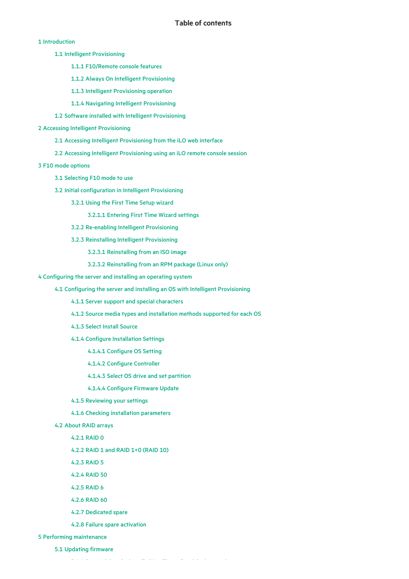#### 1 [Introduction](#page-5-0)

1.1 Intelligent [Provisioning](#page-6-0)

1.1.1 [F10/Remote](#page-7-0) console features

- 1.1.2 Always On Intelligent [Provisioning](#page-8-0)
- 1.1.3 Intelligent [Provisioning](#page-9-0) operation
- 1.1.4 Navigating Intelligent [Provisioning](#page-10-0)
- 1.2 Software installed with Intelligent [Provisioning](#page-11-0)

#### 2 Accessing Intelligent [Provisioning](#page-12-0)

2.1 Accessing Intelligent [Provisioning](#page-13-0) from the iLO web interface

2.2 Accessing Intelligent [Provisioning](#page-14-0) using an iLO remote console session

#### 3 F10 mode [options](#page-15-0)

- 3.1 [Selecting](#page-16-0) F10 mode to use
- 3.2 Initial [configuration](#page-17-0) in Intelligent Provisioning
	- 3.2.1 Using the First Time Setup [wizard](#page-18-0)

3.2.1.1 [Entering](#page-19-0) First Time Wizard settings

- 3.2.2 Re-enabling Intelligent [Provisioning](#page-20-0)
- 3.2.3 Reinstalling Intelligent [Provisioning](#page-21-0)
	- 3.2.3.1 [Reinstalling](#page-22-0) from an ISO image
	- 3.2.3.2 [Reinstalling](#page-23-0) from an RPM package (Linux only)
- 4 [Configuring](#page-24-0) the server and installing an operating system

4.1 Configuring the server and installing an OS with Intelligent [Provisioning](#page-25-0)

4.1.1 Server support and special [characters](#page-26-0)

- 4.1.2 Source media types and [installation](#page-27-0) methods supported for each OS
- 4.1.3 Select Install [Source](#page-28-0)
- 4.1.4 Configure [Installation](#page-29-0) Settings
	- 4.1.4.1 [Configure](#page-30-0) OS Setting
	- 4.1.4.2 Configure [Controller](#page-31-0)
	- 4.1.4.3 Select OS drive and set [partition](#page-32-0)
	- 4.1.4.4 [Configure](#page-34-0) Firmware Update
- 4.1.5 [Reviewing](#page-35-0) your settings
- 4.1.6 Checking installation [parameters](#page-36-0)

### 4.2 About RAID [arrays](#page-37-0)

- 4.2.1 [RAID](#page-38-0) 0
- 4.2.2 RAID 1 and RAID 1+0 [\(RAID](#page-39-0) 10)
- 4.2.3 [RAID](#page-41-0) 5
- 4.2.4 [RAID](#page-42-0) 50
- $425$ [RAID](#page-43-0) 6
- 4.2.6 [RAID](#page-44-0) 60
- 4.2.7 [Dedicated](#page-45-0) spare
- 4.2.8 Failure spare [activation](#page-46-0)

#### 5 Performing [maintenance](#page-47-0)

5.1 [Updating](#page-48-0) firmware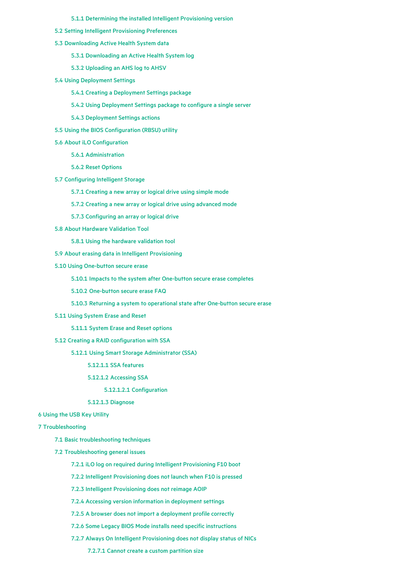#### 5.1.1 Determining the installed Intelligent [Provisioning](#page-50-0) version

- 5.2 Setting Intelligent [Provisioning](#page-51-0) Preferences
- 5.3 [Downloading](#page-52-0) Active Health System data
	- 5.3.1 [Downloading](#page-53-0) an Active Health System log
	- 5.3.2 [Uploading](#page-54-0) an AHS log to AHSV
- 5.4 Using [Deployment](#page-55-0) Settings
	- 5.4.1 Creating a [Deployment](#page-56-0) Settings package
	- 5.4.2 Using [Deployment](#page-57-0) Settings package to configure a single server
	- 5.4.3 [Deployment](#page-58-0) Settings actions
- 5.5 Using the BIOS [Configuration](#page-59-0) (RBSU) utility
- 5.6 About iLO [Configuration](#page-60-0)
	- 5.6.1 [Administration](#page-61-0)
	- 5.6.2 Reset [Options](#page-62-0)
- 5.7 [Configuring](#page-63-0) Intelligent Storage
	- 5.7.1 [Creating](#page-64-0) a new array or logical drive using simple mode
	- 5.7.2 Creating a new array or logical drive using [advanced](#page-65-0) mode
	- 5.7.3 [Configuring](#page-66-0) an array or logical drive
- 5.8 About Hardware [Validation](#page-67-0) Tool
	- 5.8.1 Using the hardware [validation](#page-68-0) tool
- 5.9 About erasing data in Intelligent [Provisioning](#page-69-0)
- 5.10 Using [One-button](#page-70-0) secure erase
	- 5.10.1 Impacts to the system after [One-button](#page-72-0) secure erase completes
	- 5.10.2 [One-button](#page-75-0) secure erase FAQ
	- 5.10.3 Returning a system to operational state after [One-button](#page-77-0) secure erase
- 5.11 Using [System](#page-78-0) Erase and Reset
	- 5.11.1 System Erase and Reset [options](#page-79-0)
- 5.12 Creating a RAID [configuration](#page-80-0) with SSA
	- 5.12.1 Using Smart Storage [Administrator](#page-81-0) (SSA)
		- 5.12.1.1 SSA [features](#page-82-0)
		- 5.12.1.2 [Accessing](#page-83-0) SSA

#### 5.12.1.2.1 [Configuration](#page-84-0)

5.12.1.3 [Diagnose](#page-85-0)

#### 6 Using the USB Key [Utility](#page-86-0)

- 7 [Troubleshooting](#page-87-0)
	- 7.1 Basic [troubleshooting](#page-88-0) techniques
	- 7.2 [Troubleshooting](#page-89-0) general issues
		- 7.2.1 iLO log on required during Intelligent [Provisioning](#page-90-0) F10 boot
		- 7.2.2 Intelligent [Provisioning](#page-91-0) does not launch when F10 is pressed
		- 7.2.3 Intelligent [Provisioning](#page-92-0) does not reimage AOIP
		- 7.2.4 Accessing version information in [deployment](#page-93-0) settings
		- 7.2.5 A browser does not import a [deployment](#page-94-0) profile correctly
		- 7.2.6 Some Legacy BIOS Mode installs need specific [instructions](#page-95-0)
		- 7.2.7 Always On Intelligent [Provisioning](#page-96-0) does not display status of NICs
			- 7.2.7.1 Cannot create a custom [partition](#page-97-0) size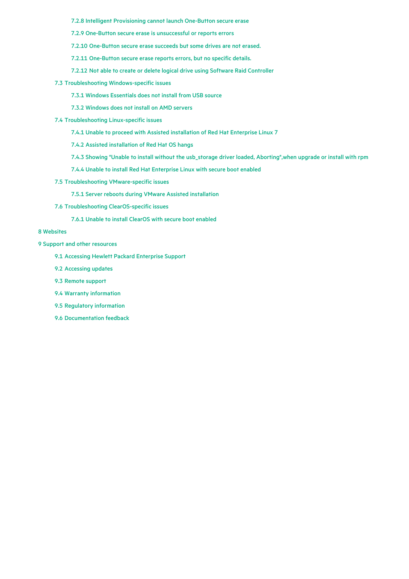- 7.2.8 Intelligent [Provisioning](#page-98-0) cannot launch One-Button secure erase
- 7.2.9 One-Button secure erase is [unsuccessful](#page-99-0) or reports errors
- 7.2.10 [One-Button](#page-100-0) secure erase succeeds but some drives are not erased.
- 7.2.11 [One-Button](#page-101-0) secure erase reports errors, but no specific details.
- 7.2.12 Not able to create or delete logical drive using Software Raid [Controller](#page-102-0)
- 7.3 Troubleshooting [Windows-specific](#page-103-0) issues
	- 7.3.1 Windows [Essentials](#page-104-0) does not install from USB source
	- 7.3.2 [Windows](#page-105-0) does not install on AMD servers
- 7.4 [Troubleshooting](#page-106-0) Linux-specific issues
	- 7.4.1 Unable to proceed with Assisted [installation](#page-107-0) of Red Hat Enterprise Linux 7
	- 7.4.2 Assisted [installation](#page-108-0) of Red Hat OS hangs
	- 7.4.3 Showing "Unable to install without the usb\_storage driver loaded, [Aborting",when](#page-109-0) upgrade or install with rpm
	- 7.4.4 Unable to install Red Hat [Enterprise](#page-110-0) Linux with secure boot enabled
- 7.5 [Troubleshooting](#page-111-0) VMware-specific issues
	- 7.5.1 Server reboots during VMware Assisted [installation](#page-112-0)
- 7.6 [Troubleshooting](#page-113-0) ClearOS-specific issues
	- 7.6.1 Unable to install [ClearOS](#page-114-0) with secure boot enabled
- 8 [Websites](#page-115-0)
- 9 Support and other [resources](#page-116-0)
	- 9.1 Accessing Hewlett Packard [Enterprise](#page-117-0) Support
	- 9.2 [Accessing](#page-118-0) updates
	- 9.3 Remote [support](#page-119-0)
	- 9.4 Warranty [information](#page-120-0)
	- 9.5 Regulatory [information](#page-121-0)
	- 9.6 [Documentation](#page-122-0) feedback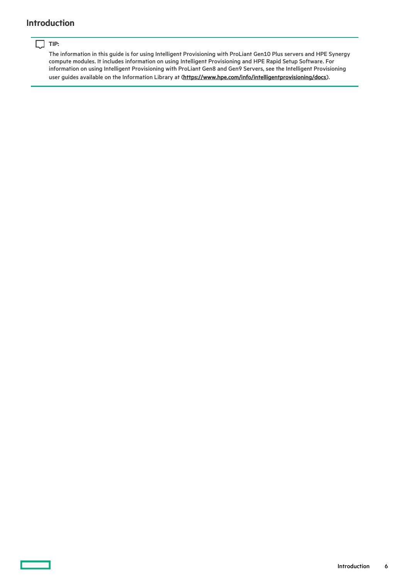## <span id="page-5-0"></span>Introduction

### $\Box$  TIP:

The information in this guide is for using Intelligent Provisioning with ProLiant Gen10 Plus servers and HPE Synergy compute modules. It includes information on using Intelligent Provisioning and HPE Rapid Setup Software. For information on using Intelligent Provisioning with ProLiant Gen8 and Gen9 Servers, see the Intelligent Provisioning user guides available on the Information Library at [\(https://www.hpe.com/info/intelligentprovisioning/docs](https://www.hpe.com/info/intelligentprovisioning/docs)).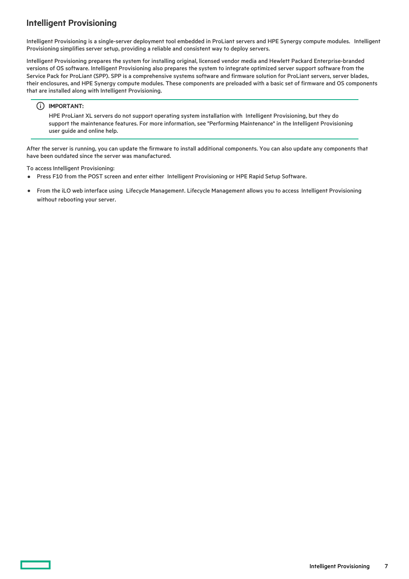## <span id="page-6-0"></span>Intelligent Provisioning

Intelligent Provisioning is a single-server deployment tool embedded in ProLiant servers and HPE Synergy compute modules. Intelligent Provisioning simplifies server setup, providing a reliable and consistent way to deploy servers.

Intelligent Provisioning prepares the system for installing original, licensed vendor media and Hewlett Packard Enterprise-branded versions of OS software. Intelligent Provisioning also prepares the system to integrate optimized server support software from the Service Pack for ProLiant (SPP). SPP is a comprehensive systems software and firmware solution for ProLiant servers, server blades, their enclosures, and HPE Synergy compute modules. These components are preloaded with a basic set of firmware and OS components that are installed along with Intelligent Provisioning.

#### IMPORTANT:

HPE ProLiant XL servers do not support operating system installation with Intelligent Provisioning, but they do support the maintenance features. For more information, see "Performing Maintenance" in the Intelligent Provisioning user guide and online help.

After the server is running, you can update the firmware to install additional components. You can also update any components that have been outdated since the server was manufactured.

To access Intelligent Provisioning:

- **Press F10 from the POST screen and enter either Intelligent Provisioning or HPE Rapid Setup Software.**
- From the iLO web interface using Lifecycle Management. Lifecycle Management allows you to access Intelligent Provisioning without rebooting your server.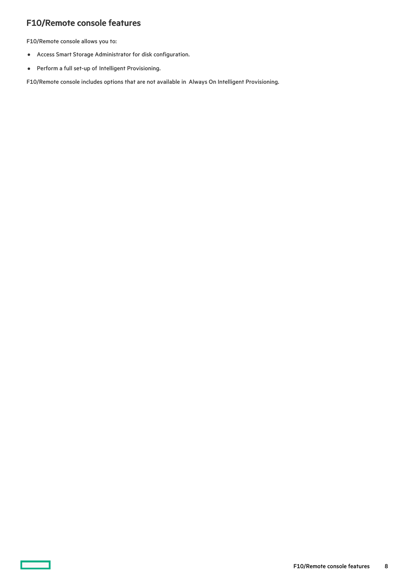## <span id="page-7-0"></span>F10/Remote console features

F10/Remote console allows you to:

- Access Smart Storage Administrator for disk configuration.
- Perform a full set-up of Intelligent Provisioning.  $\bullet$

F10/Remote console includes options that are not available in Always On Intelligent Provisioning.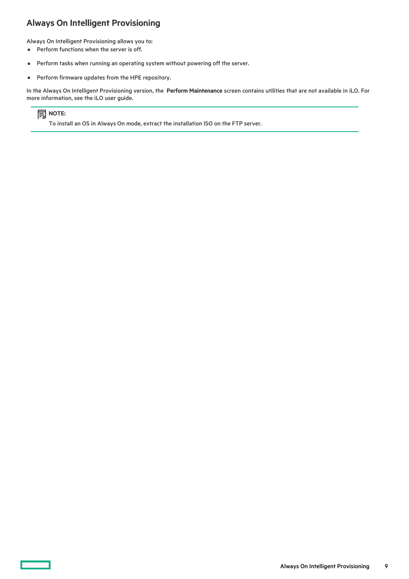## <span id="page-8-0"></span>Always On Intelligent Provisioning

Always On Intelligent Provisioning allows you to:

- Perform functions when the server is off.
- Perform tasks when running an operating system without powering off the server.  $\bullet$
- Perform firmware updates from the HPE repository.  $\bullet$

In the Always On Intelligent Provisioning version, the Perform Maintenance screen contains utilities that are not available in iLO. For more information, see the iLO user guide.



To install an OS in Always On mode, extract the installation ISO on the FTP server.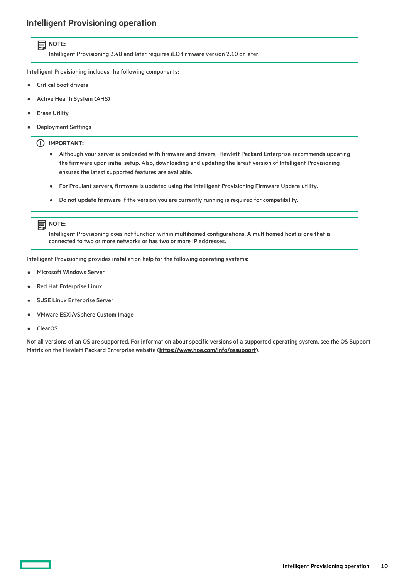### <span id="page-9-0"></span>Intelligent Provisioning operation

### **同**NOTE:

Intelligent Provisioning 3.40 and later requires iLO firmware version 2.10 or later.

Intelligent Provisioning includes the following components:

- $\bullet$ Critical boot drivers
- Active Health System (AHS)
- Erase Utility Ċ
- Deployment Settings

#### IMPORTANT:

- Although your server is preloaded with firmware and drivers, Hewlett Packard Enterprise recommends updating the firmware upon initial setup. Also, downloading and updating the latest version of Intelligent Provisioning ensures the latest supported features are available.
- For ProLiant servers, firmware is updated using the Intelligent Provisioning Firmware Update utility.
- Do not update firmware if the version you are currently running is required for compatibility.  $\bullet$

# $\mathbf{E}$  NOTE:

Intelligent Provisioning does not function within multihomed configurations. A multihomed host is one that is connected to two or more networks or has two or more IP addresses.

Intelligent Provisioning provides installation help for the following operating systems:

- Microsoft Windows Server  $\bullet$
- Red Hat Enterprise Linux  $\bullet$
- SUSE Linux Enterprise Server  $\bullet$
- VMware ESXi/vSphere Custom Image
- ClearOS  $\bullet$

Not all versions of an OS are supported. For information about specific versions of a supported operating system, see the OS Support Matrix on the Hewlett Packard Enterprise website (<https://www.hpe.com/info/ossupport>).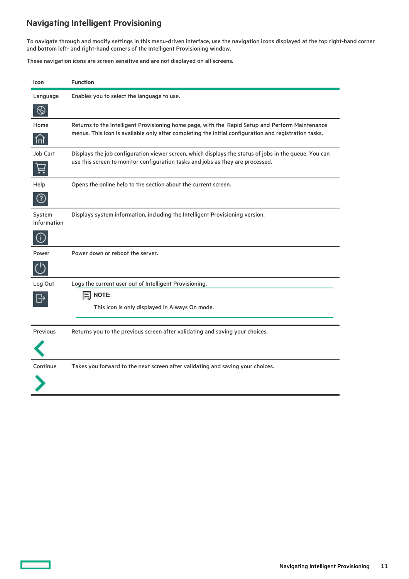# <span id="page-10-0"></span>Navigating Intelligent Provisioning

To navigate through and modify settings in this menu-driven interface, use the navigation icons displayed at the top right-hand corner and bottom left- and right-hand corners of the Intelligent Provisioning window.

These navigation icons are screen sensitive and are not displayed on all screens.

| Icon                         | <b>Function</b>                                                                                                                                                                                          |
|------------------------------|----------------------------------------------------------------------------------------------------------------------------------------------------------------------------------------------------------|
| Language<br>ୠ                | Enables you to select the language to use.                                                                                                                                                               |
| Home                         | Returns to the Intelligent Provisioning home page, with the Rapid Setup and Perform Maintenance<br>menus. This icon is available only after completing the initial configuration and registration tasks. |
| <b>Job Cart</b>              | Displays the job configuration viewer screen, which displays the status of jobs in the queue. You can<br>use this screen to monitor configuration tasks and jobs as they are processed.                  |
| Help                         | Opens the online help to the section about the current screen.                                                                                                                                           |
| System<br><b>Information</b> | Displays system information, including the Intelligent Provisioning version.                                                                                                                             |
| Power                        | Power down or reboot the server.                                                                                                                                                                         |
| Log Out                      | Logs the current user out of Intelligent Provisioning.<br><b>NOTE:</b><br>This icon is only displayed in Always On mode.                                                                                 |
| Previous                     | Returns you to the previous screen after validating and saving your choices.                                                                                                                             |
| Continue                     | Takes you forward to the next screen after validating and saving your choices.                                                                                                                           |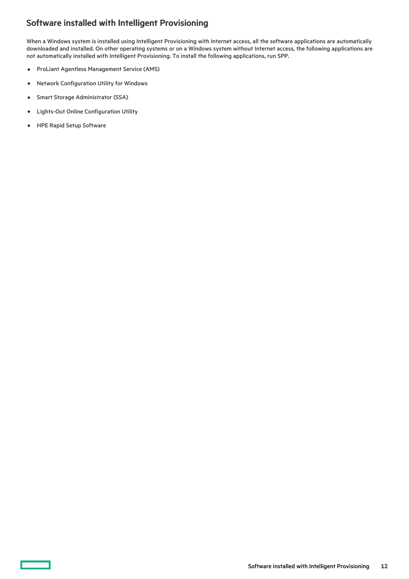## <span id="page-11-0"></span>Software installed with Intelligent Provisioning

When a Windows system is installed using Intelligent Provisioning with Internet access, all the software applications are automatically downloaded and installed. On other operating systems or on a Windows system without Internet access, the following applications are not automatically installed with Intelligent Provisioning. To install the following applications, run SPP.

- $\bullet$ ProLiant Agentless Management Service (AMS)
- Network Configuration Utility for Windows  $\bullet$
- Smart Storage Administrator (SSA)  $\bullet$
- Lights-Out Online Configuration Utility  $\bullet$
- HPE Rapid Setup Software  $\bullet$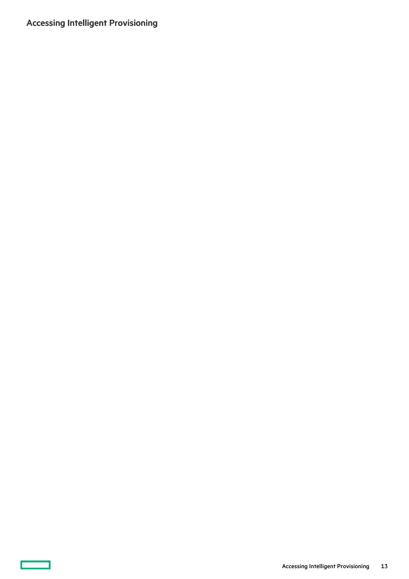<span id="page-12-0"></span>Accessing Intelligent Provisioning

 $\sim$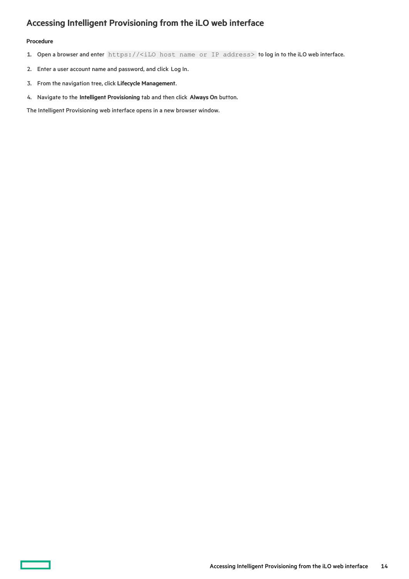# <span id="page-13-0"></span>Accessing Intelligent Provisioning from the iLO web interface

#### Procedure

- 1. Open a browser and enter https://<iLO host name or IP address> to log in to the iLO web interface.
- 2. Enter a user account name and password, and click Log In.
- 3. From the navigation tree, click Lifecycle Management.
- 4. Navigate to the Intelligent Provisioning tab and then click Always On button.

The Intelligent Provisioning web interface opens in a new browser window.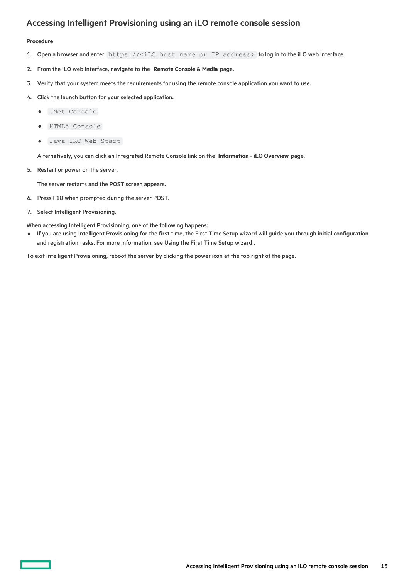### <span id="page-14-0"></span>Accessing Intelligent Provisioning using an iLO remote console session

#### Procedure

- 1. Open a browser and enter https://<iLO host name or IP address> to log in to the iLO web interface.
- 2. From the iLO web interface, navigate to the Remote Console & Media page.
- 3. Verify that your system meets the requirements for using the remote console application you want to use.
- 4. Click the launch button for your selected application.
	- .Net Console
	- HTML5 Console
	- Java IRC Web Start  $\bullet$

Alternatively, you can click an Integrated Remote Console link on the Information - iLO Overview page.

5. Restart or power on the server.

The server restarts and the POST screen appears.

- 6. Press F10 when prompted during the server POST.
- 7. Select Intelligent Provisioning.

When accessing Intelligent Provisioning, one of the following happens:

If you are using Intelligent Provisioning for the first time, the First Time Setup wizard will guide you through initial configuration and registration tasks. For more information, see Using the First Time Setup [wizard](#page-18-0).

To exit Intelligent Provisioning, reboot the server by clicking the power icon at the top right of the page.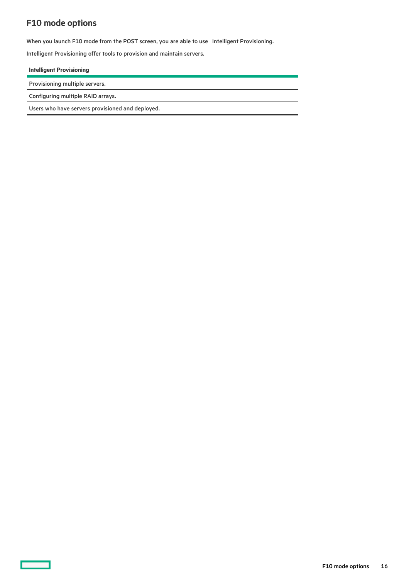# <span id="page-15-0"></span>F10 mode options

When you launch F10 mode from the POST screen, you are able to use Intelligent Provisioning.

Intelligent Provisioning offer tools to provision and maintain servers.

### Intelligent Provisioning

|  | Provisioning multiple servers. |  |  |
|--|--------------------------------|--|--|
|--|--------------------------------|--|--|

Configuring multiple RAID arrays.

Users who have servers provisioned and deployed.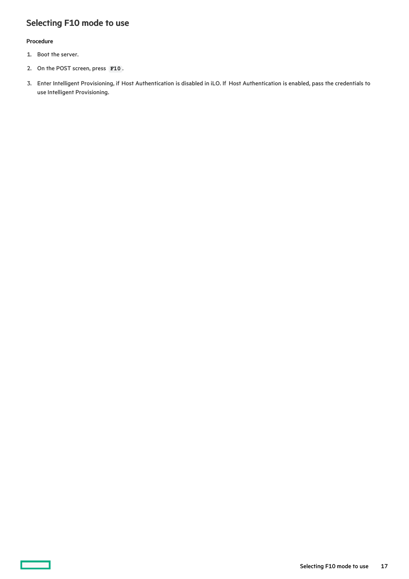# <span id="page-16-0"></span>Selecting F10 mode to use

### Procedure

 $\overline{\phantom{0}}$ 

- 1. Boot the server.
- 2. On the POST screen, press F10.
- 3. Enter Intelligent Provisioning, if Host Authentication is disabled in iLO. If Host Authentication is enabled, pass the credentials to use Intelligent Provisioning.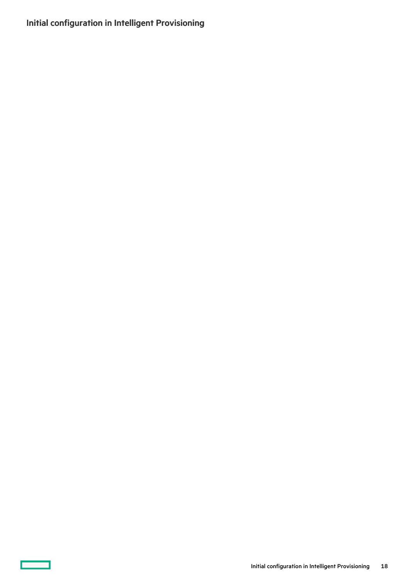<span id="page-17-0"></span><u>a sa Ba</u>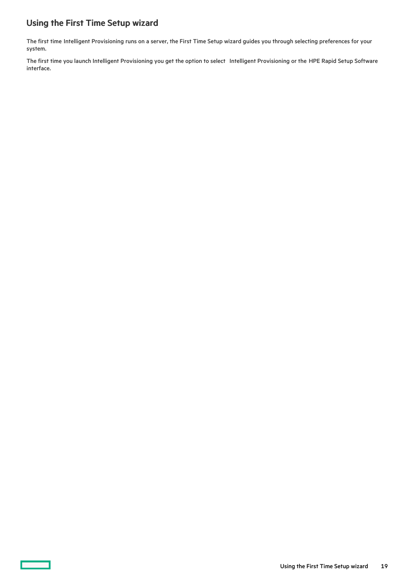# <span id="page-18-0"></span>Using the First Time Setup wizard

The first time Intelligent Provisioning runs on a server, the First Time Setup wizard guides you through selecting preferences for your system.

The first time you launch Intelligent Provisioning you get the option to select Intelligent Provisioning or the HPE Rapid Setup Software interface.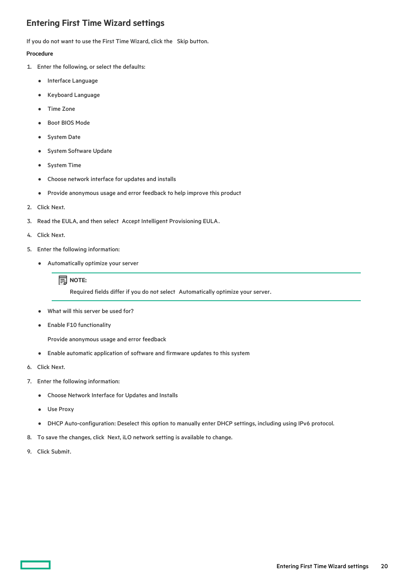## <span id="page-19-0"></span>Entering First Time Wizard settings

If you do not want to use the First Time Wizard, click the Skip button.

#### Procedure

- 1. Enter the following, or select the defaults:
	- **•** Interface Language
	- Keyboard Language
	- Time Zone
	- Boot BIOS Mode  $\bullet$
	- System Date  $\bullet$
	- **•** System Software Update
	- System Time
	- Choose network interface for updates and installs  $\bullet$
	- Provide anonymous usage and error feedback to help improve this product  $\bullet$
- 2. Click Next.
- 3. Read the EULA, and then select Accept Intelligent Provisioning EULA.
- 4. Click Next.
- 5. Enter the following information:
	- Automatically optimize your server

### **IED** NOTE:

Required fields differ if you do not select Automatically optimize your server.

- What will this server be used for?
- Enable F10 functionality  $\bullet$

Provide anonymous usage and error feedback

- Enable automatic application of software and firmware updates to this system
- 6. Click Next.
- 7. Enter the following information:
	- Choose Network Interface for Updates and Installs
	- Use Proxy
	- DHCP Auto-configuration: Deselect this option to manually enter DHCP settings, including using IPv6 protocol.
- 8. To save the changes, click Next, iLO network setting is available to change.
- 9. Click Submit.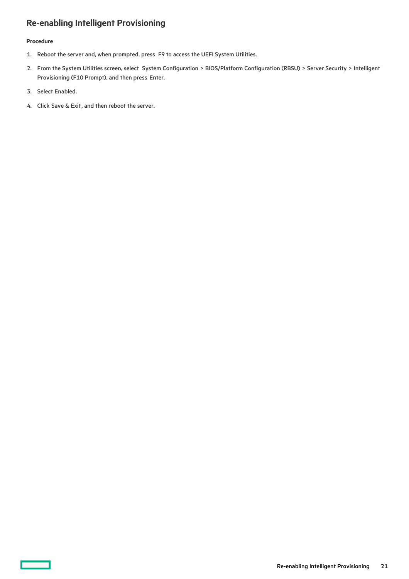# <span id="page-20-0"></span>Re-enabling Intelligent Provisioning

### Procedure

- 1. Reboot the server and, when prompted, press F9 to access the UEFI System Utilities.
- 2. From the System Utilities screen, select System Configuration > BIOS/Platform Configuration (RBSU) > Server Security > Intelligent Provisioning (F10 Prompt), and then press Enter.
- 3. Select Enabled.
- 4. Click Save & Exit, and then reboot the server.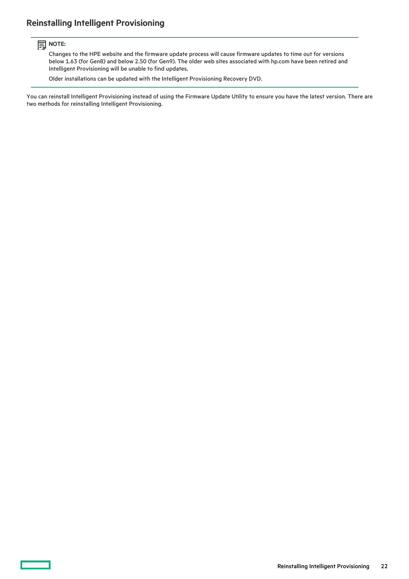### <span id="page-21-0"></span>Reinstalling Intelligent Provisioning

### **同** NOTE:

Changes to the HPE website and the firmware update process will cause firmware updates to time out for versions below 1.63 (for Gen8) and below 2.50 (for Gen9). The older web sites associated with hp.com have been retired and Intelligent Provisioning will be unable to find updates.

Older installations can be updated with the Intelligent Provisioning Recovery DVD.

You can reinstall Intelligent Provisioning instead of using the Firmware Update Utility to ensure you have the latest version. There are two methods for reinstalling Intelligent Provisioning.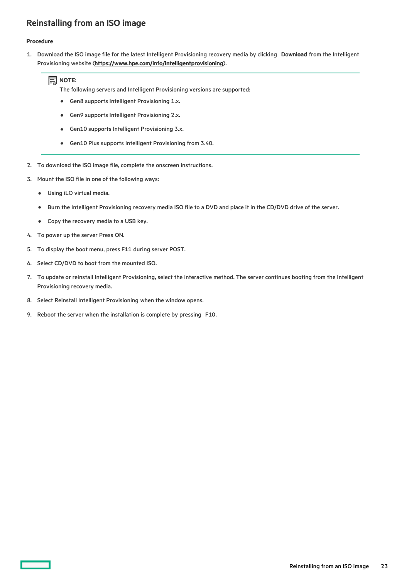## <span id="page-22-0"></span>Reinstalling from an ISO image

#### Procedure

1. Download the ISO image file for the latest Intelligent Provisioning recovery media by clicking Download from the Intelligent Provisioning website [\(https://www.hpe.com/info/intelligentprovisioning](https://www.hpe.com/info/intelligentprovisioning)).

### $\Xi$  NOTE:

The following servers and Intelligent Provisioning versions are supported:

- Gen8 supports Intelligent Provisioning 1.x.
- Gen9 supports Intelligent Provisioning 2.x.  $\bullet$
- Gen10 supports Intelligent Provisioning 3.x.  $\bullet$
- Gen10 Plus supports Intelligent Provisioning from 3.40.
- 2. To download the ISO image file, complete the onscreen instructions.
- 3. Mount the ISO file in one of the following ways:
	- Using iLO virtual media.
	- Burn the Intelligent Provisioning recovery media ISO file to a DVD and place it in the CD/DVD drive of the server.  $\bullet$
	- Copy the recovery media to a USB key.
- 4. To power up the server Press ON.
- 5. To display the boot menu, press F11 during server POST.
- 6. Select CD/DVD to boot from the mounted ISO.
- 7. To update or reinstall Intelligent Provisioning, select the interactive method. The server continues booting from the Intelligent Provisioning recovery media.
- 8. Select Reinstall Intelligent Provisioning when the window opens.
- 9. Reboot the server when the installation is complete by pressing F10.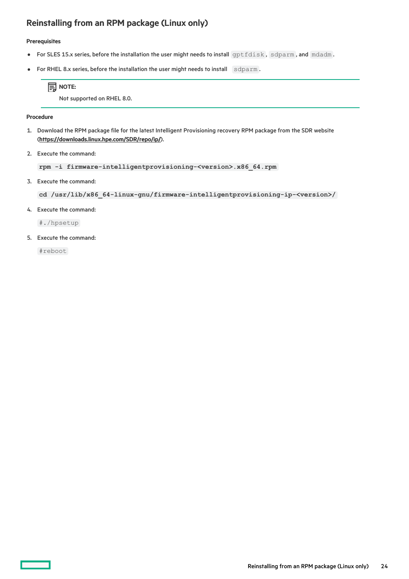### <span id="page-23-0"></span>Reinstalling from an RPM package (Linux only)

#### **Prerequisites**

- For SLES 15.x series, before the installation the user might needs to install gptfdisk, sdparm, and mdadm.  $\bullet$
- For RHEL 8.x series, before the installation the user might needs to install  $\Box$  sdparm.  $\bullet$

### $\mathbf{E}$  NOTE:

Not supported on RHEL 8.0.

#### Procedure

- 1. Download the RPM package file for the latest Intelligent Provisioning recovery RPM package from the SDR website [\(https://downloads.linux.hpe.com/SDR/repo/ip/](https://downloads.linux.hpe.com/SDR/repo/ip/)).
- 2. Execute the command:

```
rpm -i firmware-intelligentprovisioning-<version>.x86_64.rpm
```
3. Execute the command:

```
cd /usr/lib/x86_64-linux-gnu/firmware-intelligentprovisioning-ip-<version>/
```
4. Execute the command:

#./hpsetup

5. Execute the command:

#reboot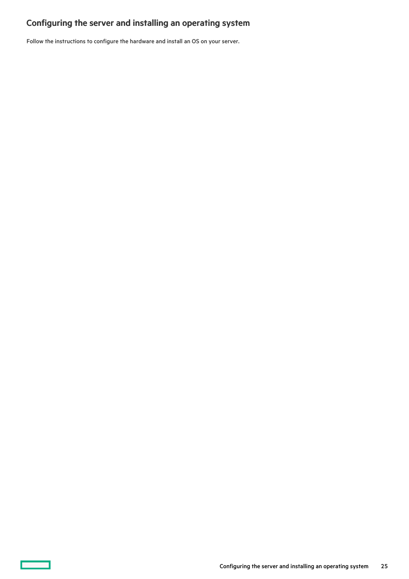# <span id="page-24-0"></span>Configuring the server and installing an operating system

Follow the instructions to configure the hardware and install an OS on your server.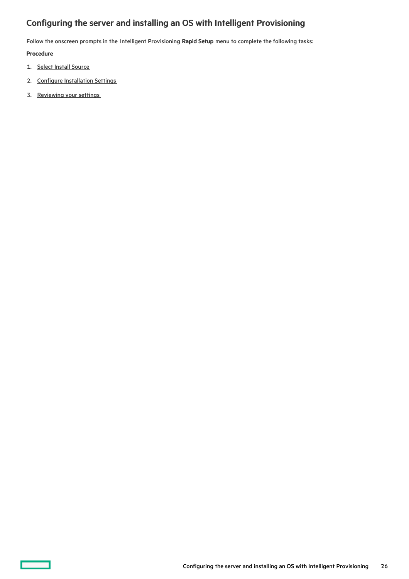# <span id="page-25-0"></span>Configuring the server and installing an OS with Intelligent Provisioning

Follow the onscreen prompts in the Intelligent Provisioning Rapid Setup menu to complete the following tasks:

#### Procedure

- 1. Select Install [Source](#page-28-0)
- 2. Configure [Installation](#page-29-0) Settings
- 3. [Reviewing](#page-35-0) your settings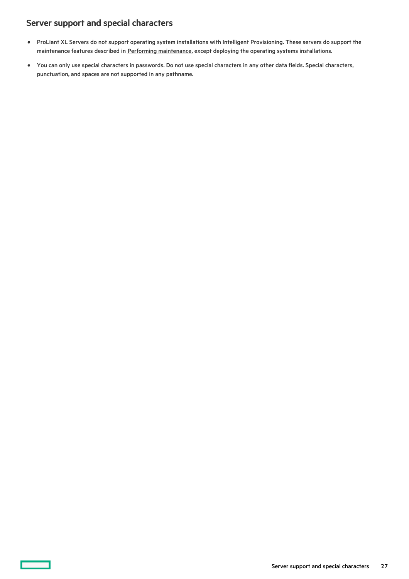### <span id="page-26-0"></span>Server support and special characters

- ProLiant XL Servers do not support operating system installations with Intelligent Provisioning. These servers do support the maintenance features described in Performing [maintenance](#page-47-0), except deploying the operating systems installations.
- You can only use special characters in passwords. Do not use special characters in any other data fields. Special characters, punctuation, and spaces are not supported in any pathname.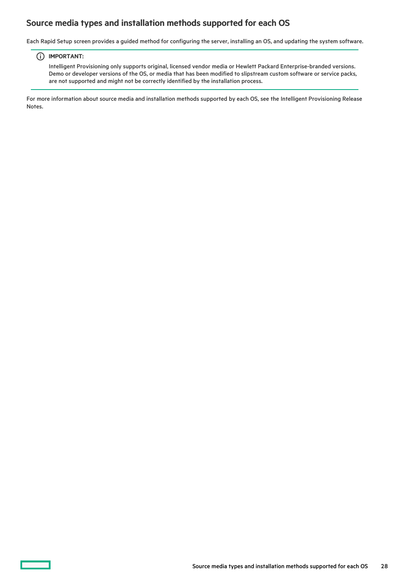### <span id="page-27-0"></span>Source media types and installation methods supported for each OS

Each Rapid Setup screen provides a guided method for configuring the server, installing an OS, and updating the system software.

### IMPORTANT:

Intelligent Provisioning only supports original, licensed vendor media or Hewlett Packard Enterprise-branded versions. Demo or developer versions of the OS, or media that has been modified to slipstream custom software or service packs, are not supported and might not be correctly identified by the installation process.

For more information about source media and installation methods supported by each OS, see the Intelligent Provisioning Release Notes.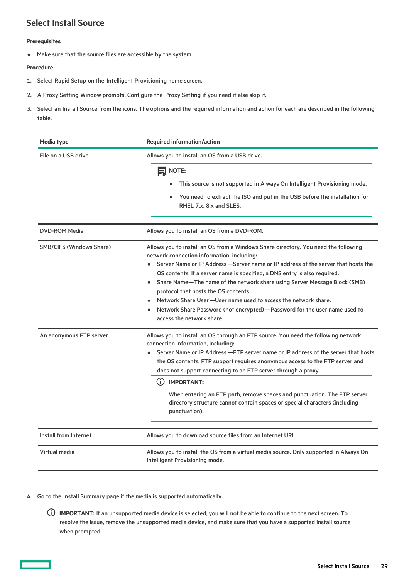### <span id="page-28-0"></span>Select Install Source

#### **Prerequisites**

Make sure that the source files are accessible by the system.

#### Procedure

- 1. Select Rapid Setup on the Intelligent Provisioning home screen.
- 2. A Proxy Setting Window prompts. Configure the Proxy Setting if you need it else skip it.
- 3. Select an Install Source from the icons. The options and the required information and action for each are described in the following table.

| <b>Media type</b>               | <b>Required information/action</b>                                                                                                                                                                                                                                                                                                                                                                                                                                                                                                                                                                            |  |  |
|---------------------------------|---------------------------------------------------------------------------------------------------------------------------------------------------------------------------------------------------------------------------------------------------------------------------------------------------------------------------------------------------------------------------------------------------------------------------------------------------------------------------------------------------------------------------------------------------------------------------------------------------------------|--|--|
| File on a USB drive             | Allows you to install an OS from a USB drive.                                                                                                                                                                                                                                                                                                                                                                                                                                                                                                                                                                 |  |  |
|                                 | <b>国</b> NOTE:<br>This source is not supported in Always On Intelligent Provisioning mode.<br>$\bullet$<br>You need to extract the ISO and put in the USB before the installation for<br>$\bullet$<br>RHEL 7.x, 8.x and SLES.                                                                                                                                                                                                                                                                                                                                                                                 |  |  |
| <b>DVD-ROM Media</b>            | Allows you to install an OS from a DVD-ROM.                                                                                                                                                                                                                                                                                                                                                                                                                                                                                                                                                                   |  |  |
| <b>SMB/CIFS (Windows Share)</b> | Allows you to install an OS from a Windows Share directory. You need the following<br>network connection information, including:<br>Server Name or IP Address - Server name or IP address of the server that hosts the<br>OS contents. If a server name is specified, a DNS entry is also required.<br>Share Name-The name of the network share using Server Message Block (SMB)<br>٠<br>protocol that hosts the OS contents.<br>Network Share User - User name used to access the network share.<br>Network Share Password (not encrypted) - Password for the user name used to<br>access the network share. |  |  |
| An anonymous FTP server         | Allows you to install an OS through an FTP source. You need the following network<br>connection information, including:<br>Server Name or IP Address - FTP server name or IP address of the server that hosts<br>the OS contents. FTP support requires anonymous access to the FTP server and<br>does not support connecting to an FTP server through a proxy.<br><b>IMPORTANT:</b><br>(i )<br>When entering an FTP path, remove spaces and punctuation. The FTP server<br>directory structure cannot contain spaces or special characters (including<br>punctuation).                                        |  |  |
| Install from Internet           | Allows you to download source files from an Internet URL.                                                                                                                                                                                                                                                                                                                                                                                                                                                                                                                                                     |  |  |
| Virtual media                   | Allows you to install the OS from a virtual media source. Only supported in Always On<br>Intelligent Provisioning mode.                                                                                                                                                                                                                                                                                                                                                                                                                                                                                       |  |  |

#### 4. Go to the Install Summary page if the media is supported automatically.

IMPORTANT: If an unsupported media device is selected, you will not be able to continue to the next screen. To resolve the issue, remove the unsupported media device, and make sure that you have a supported install source when prompted.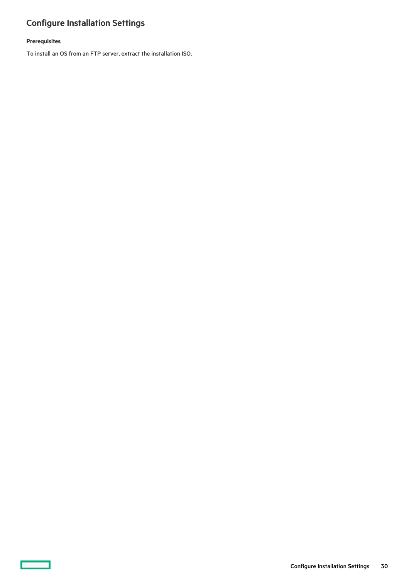# <span id="page-29-0"></span>Configure Installation Settings

### Prerequisites

**Contract Contract Contract** 

To install an OS from an FTP server, extract the installation ISO.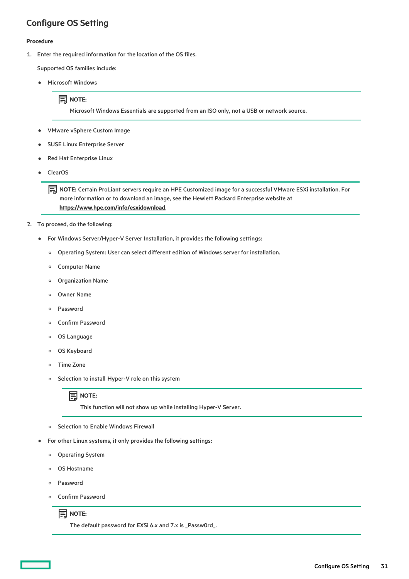# <span id="page-30-0"></span>Configure OS Setting

#### Procedure

1. Enter the required information for the location of the OS files.

Supported OS families include:

• Microsoft Windows

### **同**NOTE:

Microsoft Windows Essentials are supported from an ISO only, not a USB or network source.

- VMware vSphere Custom Image  $\bullet$
- SUSE Linux Enterprise Server
- Red Hat Enterprise Linux  $\bullet$
- ClearOS  $\bullet$

NOTE: Certain ProLiant servers require an HPE Customized image for a successful VMware ESXi installation. For more information or to download an image, see the Hewlett Packard Enterprise website at <https://www.hpe.com/info/esxidownload>.

- 2. To proceed, do the following:
	- For Windows Server/Hyper-V Server Installation, it provides the following settings:
		- Operating System: User can select different edition of Windows server for installation.
		- Computer Name
		- o Organization Name
		- Owner Name
		- Password  $\circ$
		- Confirm Password
		- o OS Language
		- o OS Keyboard
		- Time Zone  $\circ$
		- Selection to install Hyper-V role on this system  $\circ$

### $\Xi$  NOTE:

This function will not show up while installing Hyper-V Server.

- o Selection to Enable Windows Firewall
- For other Linux systems, it only provides the following settings:
	- o Operating System
	- OS Hostname
	- Password  $\circ$
	- Confirm Password  $\Omega$

 $\Xi$  NOTE:

The default password for EXSi 6.x and 7.x is \_Passw0rd\_.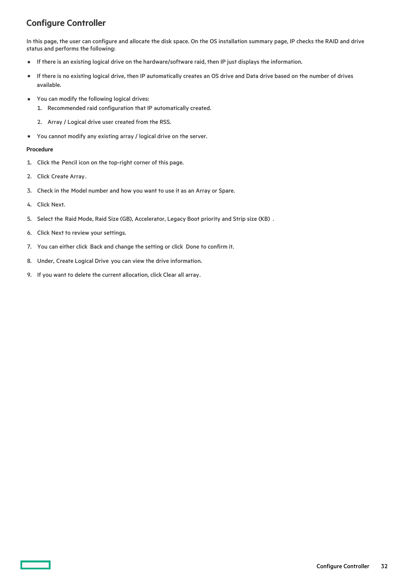# <span id="page-31-0"></span>Configure Controller

In this page, the user can configure and allocate the disk space. On the OS installation summary page, IP checks the RAID and drive status and performs the following:

- If there is an existing logical drive on the hardware/software raid, then IP just displays the information.  $\bullet$
- If there is no existing logical drive, then IP automatically creates an OS drive and Data drive based on the number of drives  $\bullet$ available.
- You can modify the following logical drives:  $\bullet$ 
	- 1. Recommended raid configuration that IP automatically created.
	- 2. Array / Logical drive user created from the RSS.
- You cannot modify any existing array / logical drive on the server.

#### Procedure

- 1. Click the Pencil icon on the top-right corner of this page.
- 2. Click Create Array.
- 3. Check in the Model number and how you want to use it as an Array or Spare.
- 4. Click Next.
- 5. Select the Raid Mode, Raid Size (GB), Accelerator, Legacy Boot priority and Strip size (KB) .
- 6. Click Next to review your settings.
- 7. You can either click Back and change the setting or click Done to confirm it.
- 8. Under, Create Logical Drive you can view the drive information.
- 9. If you want to delete the current allocation, click Clear all array.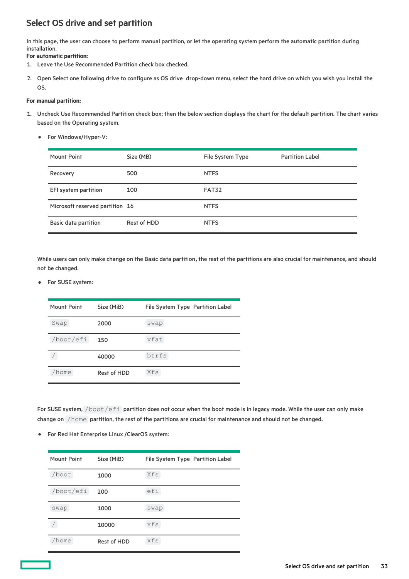## <span id="page-32-0"></span>Select OS drive and set partition

In this page, the user can choose to perform manual partition, or let the operating system perform the automatic partition during installation.

### For automatic partition:

- 1. Leave the Use Recommended Partition check box checked.
- 2. Open Select one following drive to configure as OS drive drop-down menu, select the hard drive on which you wish you install the OS.

#### For manual partition:

- 1. Uncheck Use Recommended Partition check box; then the below section displays the chart for the default partition. The chart varies based on the Operating system.
	- For Windows/Hyper-V:

| <b>Mount Point</b>              | Size (MB)          | File System Type | <b>Partition Label</b> |
|---------------------------------|--------------------|------------------|------------------------|
| Recovery                        | 500                | <b>NTFS</b>      |                        |
| EFI system partition            | 100                | <b>FAT32</b>     |                        |
| Microsoft reserved partition 16 |                    | <b>NTFS</b>      |                        |
| <b>Basic data partition</b>     | <b>Rest of HDD</b> | <b>NTFS</b>      |                        |

While users can only make change on the Basic data partition, the rest of the partitions are also crucial for maintenance, and should not be changed.

• For SUSE system:

| Mount Point | Size (MiB)  | File System Type Partition Label |
|-------------|-------------|----------------------------------|
| Swap        | 2000        | swap                             |
| /boot/efi   | 150         | vfat                             |
|             | 40000       | btrfs                            |
| /home       | Rest of HDD | Xfs                              |

For SUSE system, /boot/efi partition does not occur when the boot mode is in legacy mode. While the user can only make change on /home partition, the rest of the partitions are crucial for maintenance and should not be changed.

For Red Hat Enterprise Linux /ClearOS system:

| Mount Point | Size (MiB)         | File System Type Partition Label |
|-------------|--------------------|----------------------------------|
| /boot       | 1000               | Xfs                              |
| /boot/efi   | 200                | efi                              |
| swap        | 1000               | swap                             |
|             | 10000              | xfs                              |
| /home       | <b>Rest of HDD</b> | xfs                              |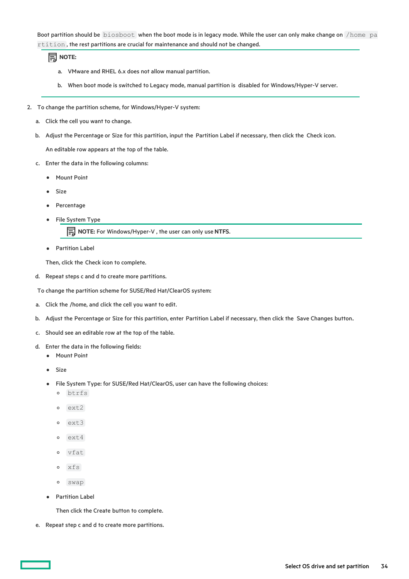Boot partition should be biosboot when the boot mode is in legacy mode. While the user can only make change on /home pa  $rtition$ , the rest partitions are crucial for maintenance and should not be changed.

### $\Xi$  NOTE:

- a. VMware and RHEL 6.x does not allow manual partition.
- b. When boot mode is switched to Legacy mode, manual partition is disabled for Windows/Hyper-V server.
- 2. To change the partition scheme, for Windows/Hyper-V system:
	- a. Click the cell you want to change.
	- b. Adjust the Percentage or Size for this partition, input the Partition Label if necessary, then click the Check icon.

An editable row appears at the top of the table.

- c. Enter the data in the following columns:
	- Mount Point
	- Size  $\bullet$
	- Percentage  $\bullet$
	- File System Type  $\bullet$

NOTE: For Windows/Hyper-V, the user can only use NTFS.

Partition Label

Then, click the Check icon to complete.

- d. Repeat steps c and d to create more partitions.
- To change the partition scheme for SUSE/Red Hat/ClearOS system:
- a. Click the /home, and click the cell you want to edit.
- b. Adjust the Percentage or Size for this partition, enter Partition Label if necessary, then click the Save Changes button.
- c. Should see an editable row at the top of the table.
- d. Enter the data in the following fields:
	- Mount Point
	- Size  $\bullet$
	- File System Type: for SUSE/Red Hat/ClearOS, user can have the following choices:  $\bullet$ 
		- btrfs
		- ext2  $\circ$
		- $\circ$ ext3
		- $\circ$  $e$ xt4
		- vfat  $\circ$
		- xfs  $\circ$
		- swap  $\circ$
	- Partition Label  $\bullet$

Then click the Create button to complete.

e. Repeat step c and d to create more partitions.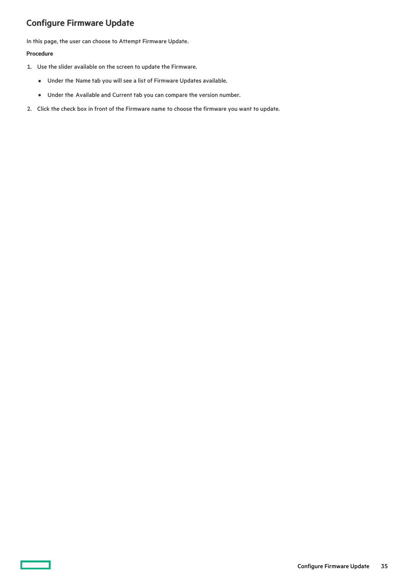# <span id="page-34-0"></span>Configure Firmware Update

In this page, the user can choose to Attempt Firmware Update.

#### Procedure

- 1. Use the slider available on the screen to update the Firmware.
	- Under the Name tab you will see a list of Firmware Updates available.
	- Under the Available and Current tab you can compare the version number.
- 2. Click the check box in front of the Firmware name to choose the firmware you want to update.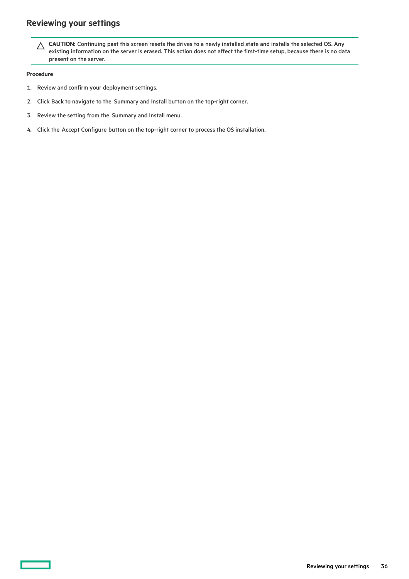### <span id="page-35-0"></span>Reviewing your settings

CAUTION: Continuing past this screen resets the drives to a newly installed state and installs the selected OS. Any existing information on the server is erased. This action does not affect the first-time setup, because there is no data present on the server.

#### Procedure

- 1. Review and confirm your deployment settings.
- 2. Click Back to navigate to the Summary and Install button on the top-right corner.
- 3. Review the setting from the Summary and Install menu.
- 4. Click the Accept Configure button on the top-right corner to process the OS installation.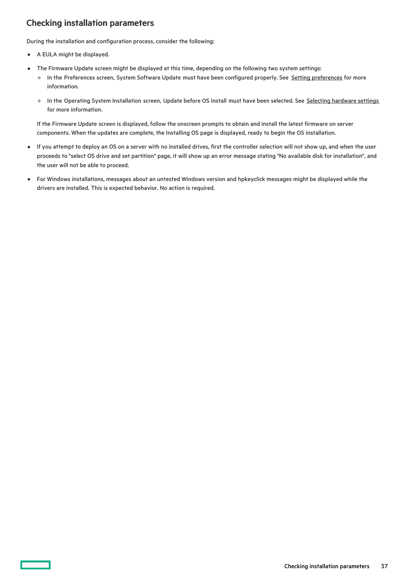# Checking installation parameters

During the installation and configuration process, consider the following:

- A EULA might be displayed.
- The Firmware Update screen might be displayed at this time, depending on the following two system settings:
	- o In the Preferences screen, System Software Update must have been configured properly. See Setting [preferences](#page-19-0) for more information.
	- In the Operating System Installation screen, Update before OS Install must have been selected. See Selecting [hardware](#page-28-0) settings for more information.

If the Firmware Update screen is displayed, follow the onscreen prompts to obtain and install the latest firmware on server components. When the updates are complete, the Installing OS page is displayed, ready to begin the OS installation.

- If you attempt to deploy an OS on a server with no installed drives, first the controller selection will not show up, and when the user proceeds to "select OS drive and set partition" page, it will show up an error message stating "No available disk for installation", and the user will not be able to proceed.
- For Windows installations, messages about an untested Windows version and hpkeyclick messages might be displayed while the  $\bullet$ drivers are installed. This is expected behavior. No action is required.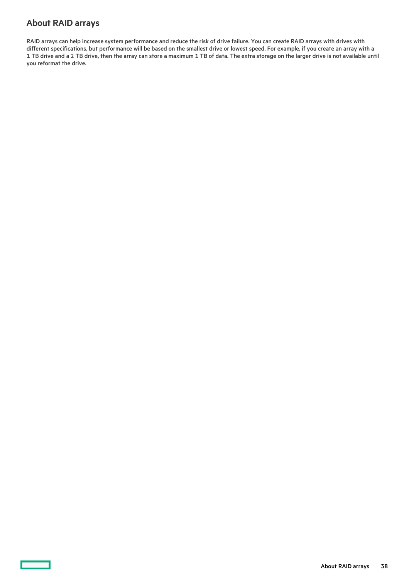## About RAID arrays

 $\overline{\phantom{0}}$ 

RAID arrays can help increase system performance and reduce the risk of drive failure. You can create RAID arrays with drives with different specifications, but performance will be based on the smallest drive or lowest speed. For example, if you create an array with a 1 TB drive and a 2 TB drive, then the array can store a maximum 1 TB of data. The extra storage on the larger drive is not available until you reformat the drive.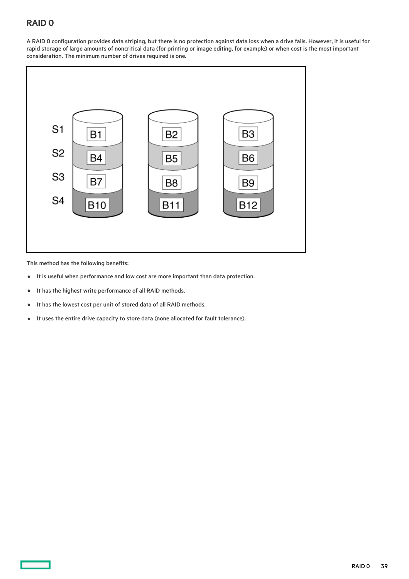A RAID 0 configuration provides data striping, but there is no protection against data loss when a drive fails. However, it is useful for rapid storage of large amounts of noncritical data (for printing or image editing, for example) or when cost is the most important consideration. The minimum number of drives required is one.



- It is useful when performance and low cost are more important than data protection.  $\bullet$
- It has the highest write performance of all RAID methods.  $\bullet$
- It has the lowest cost per unit of stored data of all RAID methods.  $\bullet$
- It uses the entire drive capacity to store data (none allocated for fault tolerance).  $\bullet$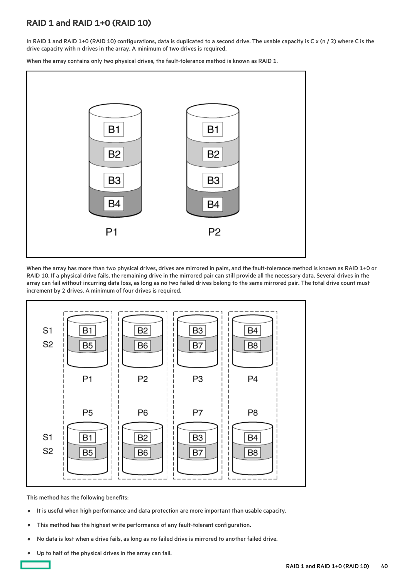## RAID 1 and RAID 1+0 (RAID 10)

In RAID 1 and RAID 1+0 (RAID 10) configurations, data is duplicated to a second drive. The usable capacity is C x (n / 2) where C is the drive capacity with n drives in the array. A minimum of two drives is required.

When the array contains only two physical drives, the fault-tolerance method is known as RAID 1.



When the array has more than two physical drives, drives are mirrored in pairs, and the fault-tolerance method is known as RAID 1+0 or RAID 10. If a physical drive fails, the remaining drive in the mirrored pair can still provide all the necessary data. Several drives in the array can fail without incurring data loss, as long as no two failed drives belong to the same mirrored pair. The total drive count must increment by 2 drives. A minimum of four drives is required.



- It is useful when high performance and data protection are more important than usable capacity.
- This method has the highest write performance of any fault-tolerant configuration.
- No data is lost when a drive fails, as long as no failed drive is mirrored to another failed drive.
- Up to half of the physical drives in the array can fail.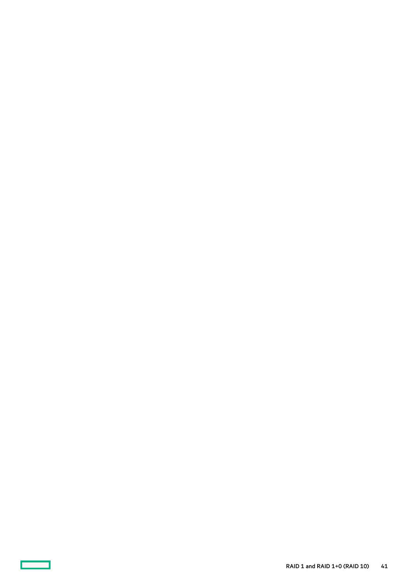$\overline{\phantom{0}}$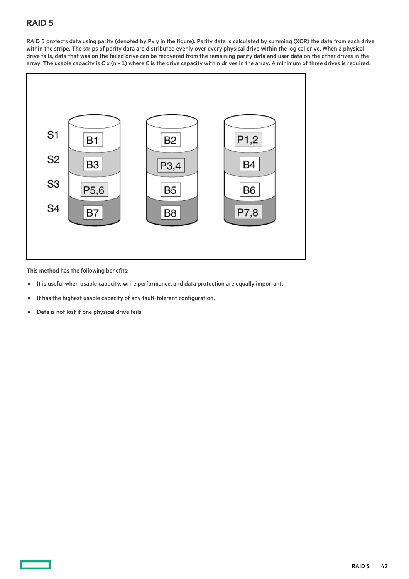RAID 5 protects data using parity (denoted by Px,y in the figure). Parity data is calculated by summing (XOR) the data from each drive within the stripe. The strips of parity data are distributed evenly over every physical drive within the logical drive. When a physical drive fails, data that was on the failed drive can be recovered from the remaining parity data and user data on the other drives in the array. The usable capacity is C x (n - 1) where C is the drive capacity with n drives in the array. A minimum of three drives is required.



- It is useful when usable capacity, write performance, and data protection are equally important.
- It has the highest usable capacity of any fault-tolerant configuration.  $\bullet$
- $\bullet$ Data is not lost if one physical drive fails.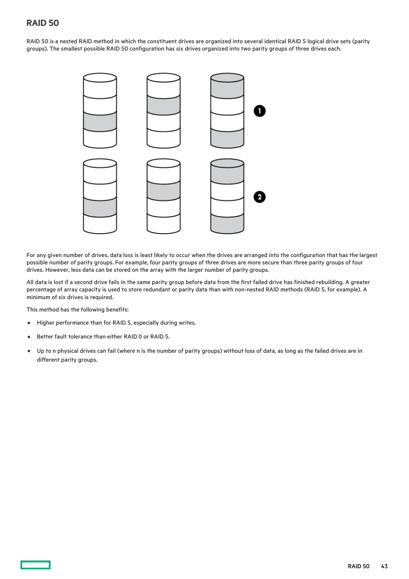RAID 50 is a nested RAID method in which the constituent drives are organized into several identical RAID 5 logical drive sets (parity groups). The smallest possible RAID 50 configuration has six drives organized into two parity groups of three drives each.



For any given number of drives, data loss is least likely to occur when the drives are arranged into the configuration that has the largest possible number of parity groups. For example, four parity groups of three drives are more secure than three parity groups of four drives. However, less data can be stored on the array with the larger number of parity groups.

All data is lost if a second drive fails in the same parity group before data from the first failed drive has finished rebuilding. A greater percentage of array capacity is used to store redundant or parity data than with non-nested RAID methods (RAID 5, for example). A minimum of six drives is required.

- Higher performance than for RAID 5, especially during writes.  $\bullet$
- Better fault tolerance than either RAID 0 or RAID 5.  $\bullet$
- Up to n physical drives can fail (where n is the number of parity groups) without loss of data, as long as the failed drives are in  $\bullet$ different parity groups.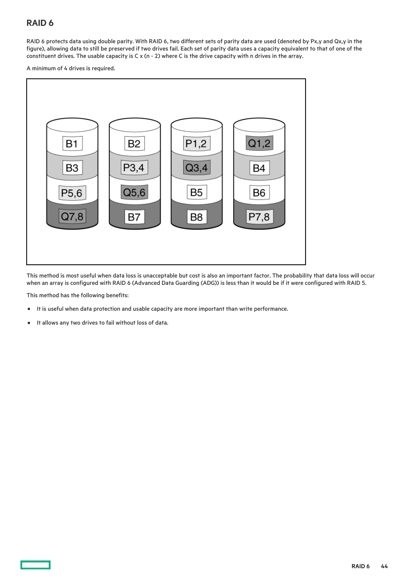RAID 6 protects data using double parity. With RAID 6, two different sets of parity data are used (denoted by Px,y and Qx,y in the figure), allowing data to still be preserved if two drives fail. Each set of parity data uses a capacity equivalent to that of one of the constituent drives. The usable capacity is C x (n - 2) where C is the drive capacity with n drives in the array.

A minimum of 4 drives is required.



This method is most useful when data loss is unacceptable but cost is also an important factor. The probability that data loss will occur when an array is configured with RAID 6 (Advanced Data Guarding (ADG)) is less than it would be if it were configured with RAID 5.

- It is useful when data protection and usable capacity are more important than write performance.  $\bullet$
- It allows any two drives to fail without loss of data.  $\bullet$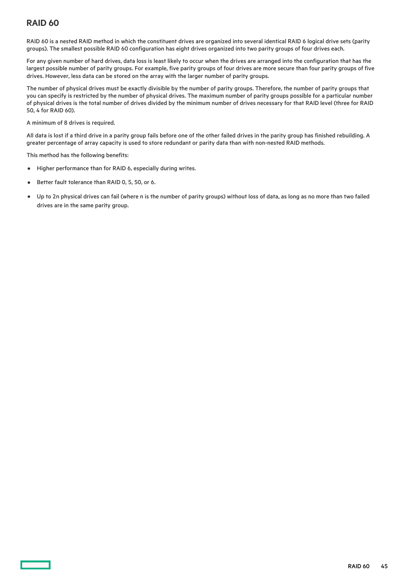RAID 60 is a nested RAID method in which the constituent drives are organized into several identical RAID 6 logical drive sets (parity groups). The smallest possible RAID 60 configuration has eight drives organized into two parity groups of four drives each.

For any given number of hard drives, data loss is least likely to occur when the drives are arranged into the configuration that has the largest possible number of parity groups. For example, five parity groups of four drives are more secure than four parity groups of five drives. However, less data can be stored on the array with the larger number of parity groups.

The number of physical drives must be exactly divisible by the number of parity groups. Therefore, the number of parity groups that you can specify is restricted by the number of physical drives. The maximum number of parity groups possible for a particular number of physical drives is the total number of drives divided by the minimum number of drives necessary for that RAID level (three for RAID 50, 4 for RAID 60).

A minimum of 8 drives is required.

All data is lost if a third drive in a parity group fails before one of the other failed drives in the parity group has finished rebuilding. A greater percentage of array capacity is used to store redundant or parity data than with non-nested RAID methods.

- Higher performance than for RAID 6, especially during writes.  $\bullet$
- $\bullet$ Better fault tolerance than RAID 0, 5, 50, or 6.
- Up to 2n physical drives can fail (where n is the number of parity groups) without loss of data, as long as no more than two failed drives are in the same parity group.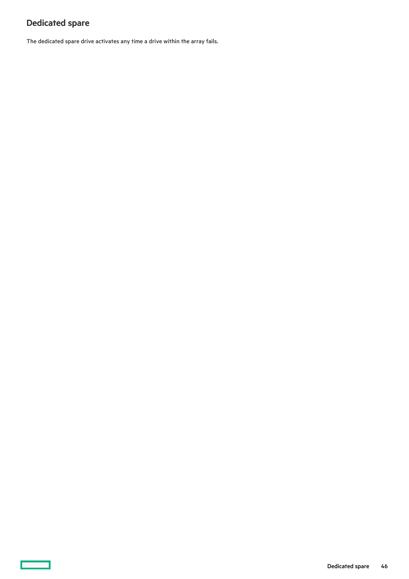# Dedicated spare

 $\overline{\phantom{a}}$ 

The dedicated spare drive activates any time a drive within the array fails.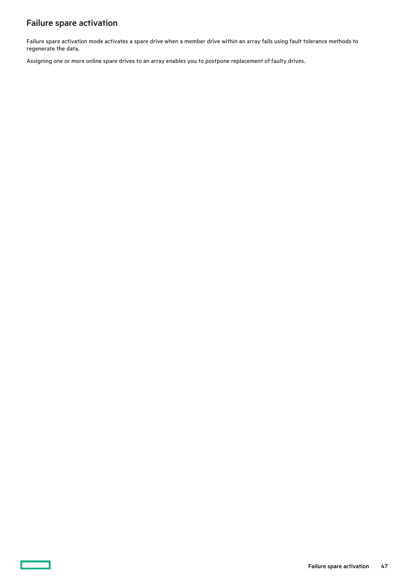# Failure spare activation

 $\sim$ 

Failure spare activation mode activates a spare drive when a member drive within an array fails using fault tolerance methods to regenerate the data.

Assigning one or more online spare drives to an array enables you to postpone replacement of faulty drives.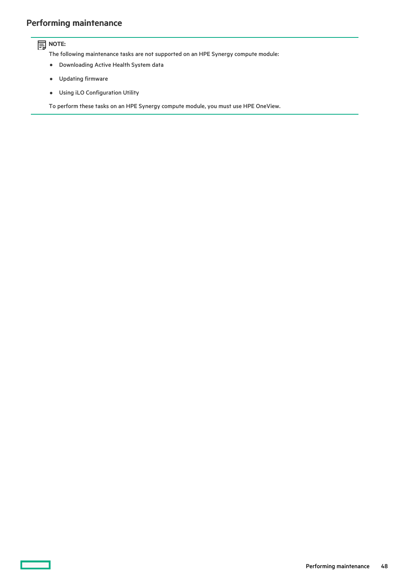# Performing maintenance

## **同** NOTE:

The following maintenance tasks are not supported on an HPE Synergy compute module:

- Downloading Active Health System data
- Updating firmware
- Using iLO Configuration Utility

To perform these tasks on an HPE Synergy compute module, you must use HPE OneView.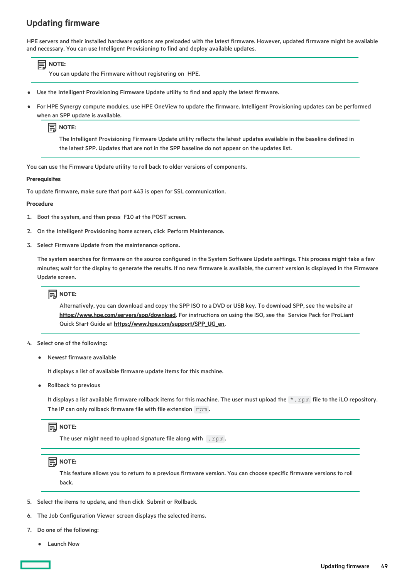## Updating firmware

HPE servers and their installed hardware options are preloaded with the latest firmware. However, updated firmware might be available and necessary. You can use Intelligent Provisioning to find and deploy available updates.

### **目**NOTE:

You can update the Firmware without registering on HPE.

- Use the Intelligent Provisioning Firmware Update utility to find and apply the latest firmware.
- For HPE Synergy compute modules, use HPE OneView to update the firmware. Intelligent Provisioning updates can be performed when an SPP update is available.

 $\Xi$  NOTE:

The Intelligent Provisioning Firmware Update utility reflects the latest updates available in the baseline defined in the latest SPP. Updates that are not in the SPP baseline do not appear on the updates list.

You can use the Firmware Update utility to roll back to older versions of components.

#### **Prerequisites**

To update firmware, make sure that port 443 is open for SSL communication.

#### **Procedure**

- 1. Boot the system, and then press F10 at the POST screen.
- 2. On the Intelligent Provisioning home screen, click Perform Maintenance.
- 3. Select Firmware Update from the maintenance options.

The system searches for firmware on the source configured in the System Software Update settings. This process might take a few minutes; wait for the display to generate the results. If no new firmware is available, the current version is displayed in the Firmware Update screen.

### **目**NOTE:

Alternatively, you can download and copy the SPP ISO to a DVD or USB key. To download SPP, see the website at <https://www.hpe.com/servers/spp/download>. For instructions on using the ISO, see the Service Pack for ProLiant Quick Start Guide at [https://www.hpe.com/support/SPP\\_UG\\_en](https://www.hpe.com/support/SPP_UG_en).

### 4. Select one of the following:

Newest firmware available

It displays a list of available firmware update items for this machine.

Rollback to previous

It displays a list available firmware rollback items for this machine. The user must upload the  $*$ .  $r$ pm file to the iLO repository. The IP can only rollback firmware file with file extension  $\text{rpm}$ .

### $\Xi$  NOTE:

The user might need to upload signature file along with  $\Box$ . rpm.

### $\Xi$  NOTE:

This feature allows you to return to a previous firmware version. You can choose specific firmware versions to roll back.

- 5. Select the items to update, and then click Submit or Rollback.
- 6. The Job Configuration Viewer screen displays the selected items.
- 7. Do one of the following:
	- Launch Now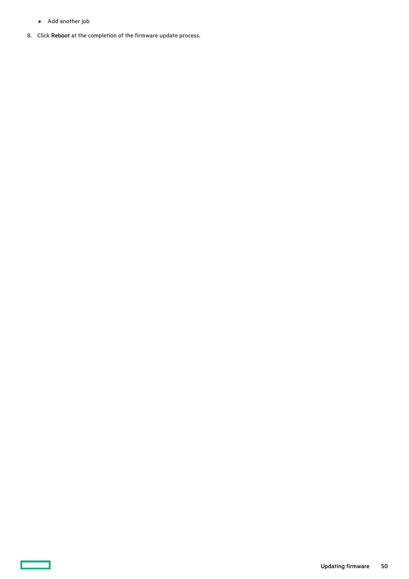Add another job

 $\mathcal{L}(\mathcal{L})$ 

8. Click Reboot at the completion of the firmware update process.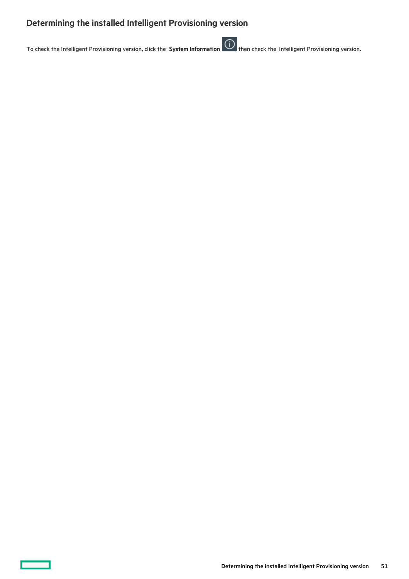# Determining the installed Intelligent Provisioning version

To check the Intelligent Provisioning version, click the System Information  $\bigodot$  then check the Intelligent Provisioning version.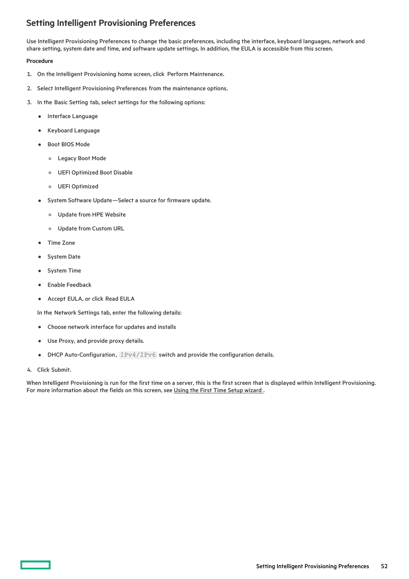## <span id="page-51-0"></span>Setting Intelligent Provisioning Preferences

Use Intelligent Provisioning Preferences to change the basic preferences, including the interface, keyboard languages, network and share setting, system date and time, and software update settings. In addition, the EULA is accessible from this screen.

### Procedure

- 1. On the Intelligent Provisioning home screen, click Perform Maintenance.
- 2. Select Intelligent Provisioning Preferences from the maintenance options.
- 3. In the Basic Setting tab, select settings for the following options:
	- **•** Interface Language
	- Keyboard Language
	- Boot BIOS Mode
		- Legacy Boot Mode
		- UEFI Optimized Boot Disable
		- UEFI Optimized
	- System Software Update—Select a source for firmware update.
		- Update from HPE Website
		- Update from Custom URL
	- Time Zone
	- System Date
	- System Time  $\bullet$
	- Enable Feedback  $\bullet$
	- Accept EULA, or click Read EULA

In the Network Settings tab, enter the following details:

- Choose network interface for updates and installs  $\bullet$
- $\bullet$ Use Proxy, and provide proxy details.
- DHCP Auto-Configuration,  $IPV4/IPV6$  switch and provide the configuration details.  $\bullet$
- 4. Click Submit.

When Intelligent Provisioning is run for the first time on a server, this is the first screen that is displayed within Intelligent Provisioning. For more information about the fields on this screen, see Using the First Time Setup [wizard](#page-18-0).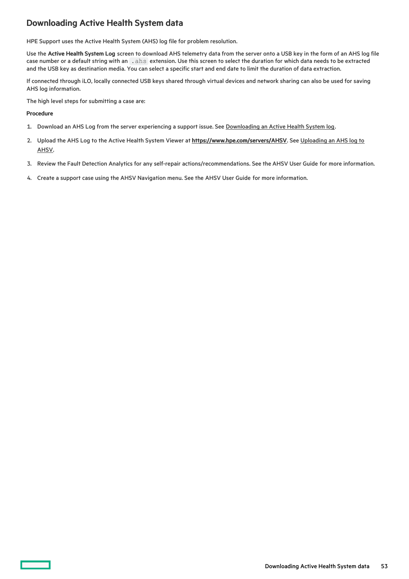# Downloading Active Health System data

HPE Support uses the Active Health System (AHS) log file for problem resolution.

Use the Active Health System Log screen to download AHS telemetry data from the server onto a USB key in the form of an AHS log file case number or a default string with an . ahs extension. Use this screen to select the duration for which data needs to be extracted and the USB key as destination media. You can select a specific start and end date to limit the duration of data extraction.

If connected through iLO, locally connected USB keys shared through virtual devices and network sharing can also be used for saving AHS log information.

The high level steps for submitting a case are:

### Procedure

- 1. Download an AHS Log from the server experiencing a support issue. See [Downloading](#page-53-0) an Active Health System log.
- 2. Upload the AHS Log to the Active Health System Viewer at [https://www.hpe.com/servers/AHSV.](#page-54-0) See Uploading an AHS log to AHSV.
- 3. Review the Fault Detection Analytics for any self-repair actions/recommendations. See the AHSV User Guide for more information.
- 4. Create a support case using the AHSV Navigation menu. See the AHSV User Guide for more information.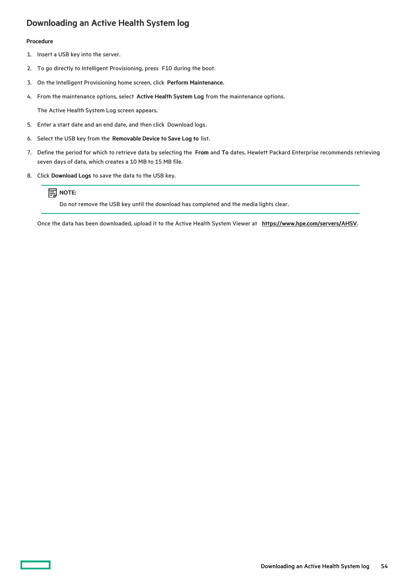## <span id="page-53-0"></span>Downloading an Active Health System log

### Procedure

- 1. Insert a USB key into the server.
- 2. To go directly to Intelligent Provisioning, press F10 during the boot.
- 3. On the Intelligent Provisioning home screen, click Perform Maintenance.
- 4. From the maintenance options, select Active Health System Log from the maintenance options.

The Active Health System Log screen appears.

- 5. Enter a start date and an end date, and then click Download logs.
- 6. Select the USB key from the Removable Device to Save Log to list.
- 7. Define the period for which to retrieve data by selecting the From and To dates. Hewlett Packard Enterprise recommends retrieving seven days of data, which creates a 10 MB to 15 MB file.
- 8. Click Download Logs to save the data to the USB key.

## **司**NOTE:

Do not remove the USB key until the download has completed and the media lights clear.

Once the data has been downloaded, upload it to the Active Health System Viewer at <https://www.hpe.com/servers/AHSV>.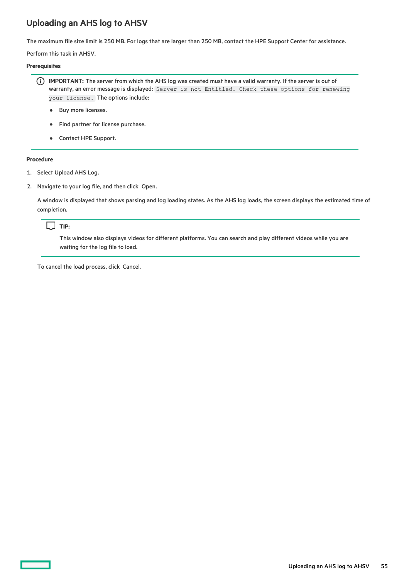# <span id="page-54-0"></span>Uploading an AHS log to AHSV

The maximum file size limit is 250 MB. For logs that are larger than 250 MB, contact the HPE Support Center for assistance.

Perform this task in AHSV.

### **Prerequisites**

- IMPORTANT: The server from which the AHS log was created must have a valid warranty. If the server is out of warranty, an error message is displayed: Server is not Entitled. Check these options for renewing your license. The options include:
	- Buy more licenses.
	- Find partner for license purchase.
	- Contact HPE Support.

### Procedure

- 1. Select Upload AHS Log.
- 2. Navigate to your log file, and then click Open.

A window is displayed that shows parsing and log loading states. As the AHS log loads, the screen displays the estimated time of completion.

### $\Box$  TIP:

This window also displays videos for different platforms. You can search and play different videos while you are waiting for the log file to load.

To cancel the load process, click Cancel.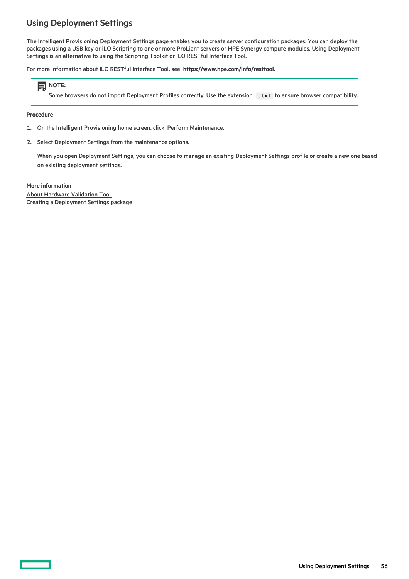## Using Deployment Settings

The Intelligent Provisioning Deployment Settings page enables you to create server configuration packages. You can deploy the packages using a USB key or iLO Scripting to one or more ProLiant servers or HPE Synergy compute modules. Using Deployment Settings is an alternative to using the Scripting Toolkit or iLO RESTful Interface Tool.

For more information about iLO RESTful Interface Tool, see <https://www.hpe.com/info/resttool>.

# **同** NOTE:

Some browsers do not import Deployment Profiles correctly. Use the extension . txt to ensure browser compatibility.

### Procedure

- 1. On the Intelligent Provisioning home screen, click Perform Maintenance.
- 2. Select Deployment Settings from the maintenance options.

When you open Deployment Settings, you can choose to manage an existing Deployment Settings profile or create a new one based on existing deployment settings.

### More information

About Hardware [Validation](#page-67-0) Tool Creating a [Deployment](#page-56-0) Settings package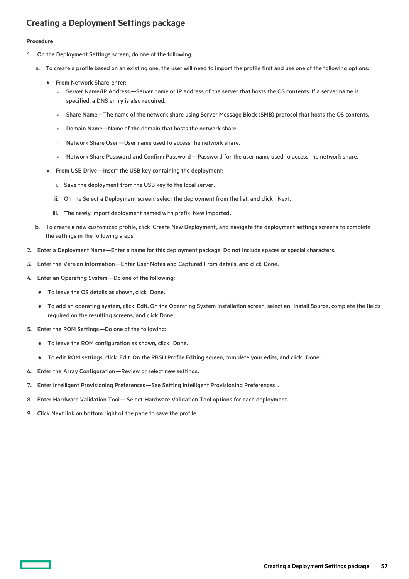## <span id="page-56-0"></span>Creating a Deployment Settings package

### Procedure

- 1. On the Deployment Settings screen, do one of the following:
	- a. To create a profile based on an existing one, the user will need to import the profile first and use one of the following options:
		- From Network Share enter:
			- Server Name/IP Address—Server name or IP address of the server that hosts the OS contents. If a server name is specified, a DNS entry is also required.
			- o Share Name—The name of the network share using Server Message Block (SMB) protocol that hosts the OS contents.
			- Domain Name—Name of the domain that hosts the network share.
			- Network Share User—User name used to access the network share.
			- Network Share Password and Confirm Password —Password for the user name used to access the network share.
		- From USB Drive—Insert the USB key containing the deployment:
			- i. Save the deployment from the USB key to the local server.
			- ii. On the Select a Deployment screen, select the deployment from the list, and click Next.
			- iii. The newly import deployment named with prefix New Imported.
	- b. To create a new customized profile, click Create New Deployment, and navigate the deployment settings screens to complete the settings in the following steps.
- 2. Enter a Deployment Name—Enter a name for this deployment package. Do not include spaces or special characters.
- 3. Enter the Version Information—Enter User Notes and Captured From details, and click Done.
- 4. Enter an Operating System—Do one of the following:
	- To leave the OS details as shown, click Done.
	- To add an operating system, click Edit. On the Operating System Installation screen, select an Install Source, complete the fields required on the resulting screens, and click Done.
- 5. Enter the ROM Settings—Do one of the following:
	- To leave the ROM configuration as shown, click Done.
	- To edit ROM settings, click Edit. On the RBSU Profile Editing screen, complete your edits, and click Done.
- 6. Enter the Array Configuration—Review or select new settings.
- 7. Enter Intelligent [Provisioning](#page-51-0) Preferences—See Setting Intelligent Provisioning Preferences.
- 8. Enter Hardware Validation Tool— Select Hardware Validation Tool options for each deployment.
- 9. Click Next link on bottom right of the page to save the profile.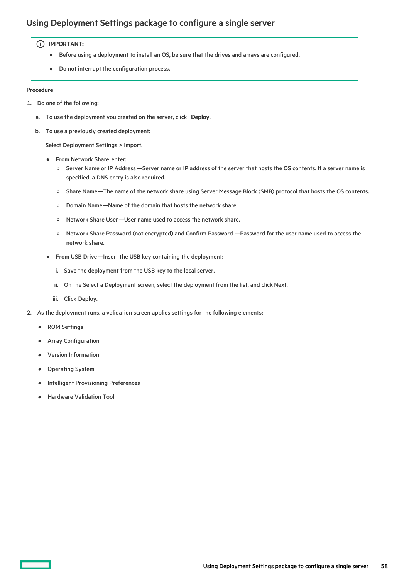## Using Deployment Settings package to configure a single server

### IMPORTANT:

- **Before using a deployment to install an OS, be sure that the drives and arrays are configured.**
- Do not interrupt the configuration process.

### Procedure

- 1. Do one of the following:
	- a. To use the deployment you created on the server, click Deploy.
	- b. To use a previously created deployment:

Select Deployment Settings > Import.

- **•** From Network Share enter:
	- Server Name or IP Address —Server name or IP address of the server that hosts the OS contents. If a server name is specified, a DNS entry is also required.
	- Share Name—The name of the network share using Server Message Block (SMB) protocol that hosts the OS contents.
	- Domain Name—Name of the domain that hosts the network share.
	- Network Share User—User name used to access the network share.
	- Network Share Password (not encrypted) and Confirm Password —Password for the user name used to access the network share.
- From USB Drive—Insert the USB key containing the deployment:
	- i. Save the deployment from the USB key to the local server.
	- ii. On the Select a Deployment screen, select the deployment from the list, and click Next.
	- iii. Click Deploy.
- 2. As the deployment runs, a validation screen applies settings for the following elements:
	- ROM Settings
	- $\bullet$ Array Configuration
	- Version Information
	- Operating System  $\bullet$
	- Intelligent Provisioning Preferences  $\bullet$
	- Hardware Validation Tool  $\bullet$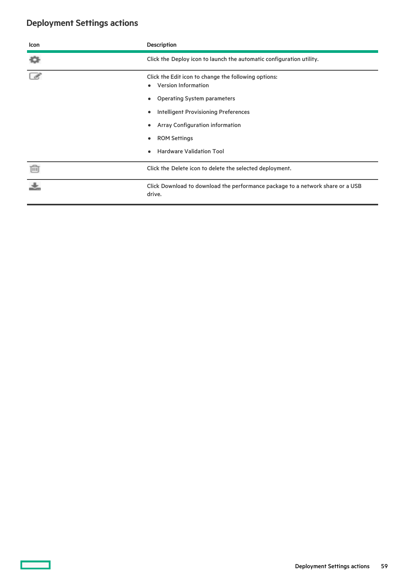# Deployment Settings actions

| <b>Icon</b>          | <b>Description</b>                                                                       |
|----------------------|------------------------------------------------------------------------------------------|
|                      | Click the Deploy icon to launch the automatic configuration utility.                     |
| $\overrightarrow{a}$ | Click the Edit icon to change the following options:<br><b>Version Information</b>       |
|                      | <b>Operating System parameters</b>                                                       |
|                      | <b>Intelligent Provisioning Preferences</b>                                              |
|                      | <b>Array Configuration information</b>                                                   |
|                      | <b>ROM Settings</b>                                                                      |
|                      | <b>Hardware Validation Tool</b>                                                          |
| गणि                  | Click the Delete icon to delete the selected deployment.                                 |
| $\downarrow$         | Click Download to download the performance package to a network share or a USB<br>drive. |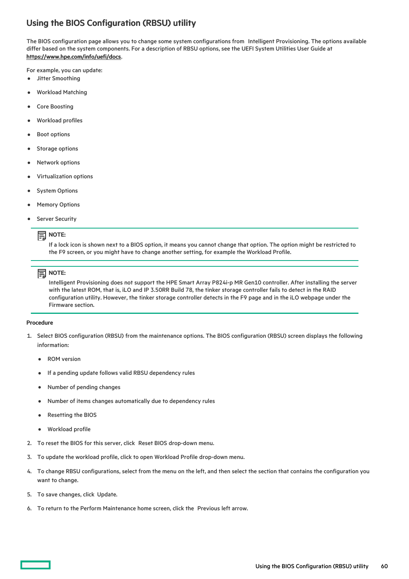# Using the BIOS Configuration (RBSU) utility

The BIOS configuration page allows you to change some system configurations from Intelligent Provisioning. The options available differ based on the system components. For a description of RBSU options, see the UEFI System Utilities User Guide at <https://www.hpe.com/info/uefi/docs>.

For example, you can update:

- $\bullet$ Jitter Smoothing
- Workload Matching
- Core Boosting
- Workload profiles
- Boot options
- Storage options
- Network options
- Virtualization options
- System Options
- Memory Options
- Server Security

### **目**NOTE:

If a lock icon is shown next to a BIOS option, it means you cannot change that option. The option might be restricted to the F9 screen, or you might have to change another setting, for example the Workload Profile.

## **IED** NOTE:

Intelligent Provisioning does not support the HPE Smart Array P824i-p MR Gen10 controller. After installing the server with the latest ROM, that is, iLO and IP 3.50RR Build 78, the tinker storage controller fails to detect in the RAID configuration utility. However, the tinker storage controller detects in the F9 page and in the iLO webpage under the Firmware section.

### Procedure

- 1. Select BIOS configuration (RBSU) from the maintenance options. The BIOS configuration (RBSU) screen displays the following information:
	- ROM version
	- If a pending update follows valid RBSU dependency rules  $\bullet$
	- $\bullet$ Number of pending changes
	- Number of items changes automatically due to dependency rules
	- Resetting the BIOS
	- Workload profile  $\bullet$
- 2. To reset the BIOS for this server, click Reset BIOS drop-down menu.
- 3. To update the workload profile, click to open Workload Profile drop-down menu.
- 4. To change RBSU configurations, select from the menu on the left, and then select the section that contains the configuration you want to change.
- 5. To save changes, click Update.
- 6. To return to the Perform Maintenance home screen, click the Previous left arrow.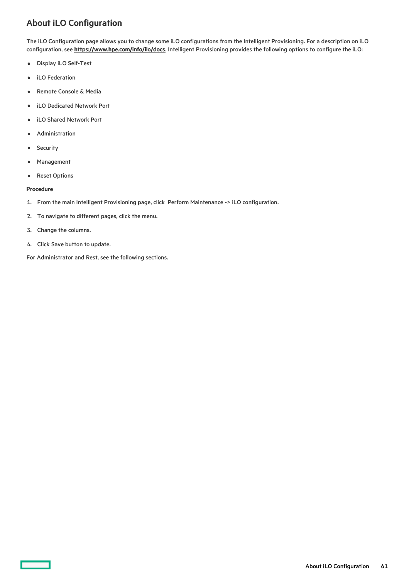# About iLO Configuration

The iLO Configuration page allows you to change some iLO configurations from the Intelligent Provisioning. For a description on iLO configuration, see <https://www.hpe.com/info/ilo/docs>. Intelligent Provisioning provides the following options to configure the iLO:

- Display iLO Self-Test  $\bullet$
- iLO Federation  $\bullet$
- Remote Console & Media  $\bullet$
- iLO Dedicated Network Port  $\bullet$
- iLO Shared Network Port  $\bullet$
- Administration  $\bullet$
- **Security**  $\bullet$
- Management  $\bullet$
- Reset Options  $\bullet$

### Procedure

- 1. From the main Intelligent Provisioning page, click Perform Maintenance -> iLO configuration.
- 2. To navigate to different pages, click the menu.
- 3. Change the columns.
- 4. Click Save button to update.

For Administrator and Rest, see the following sections.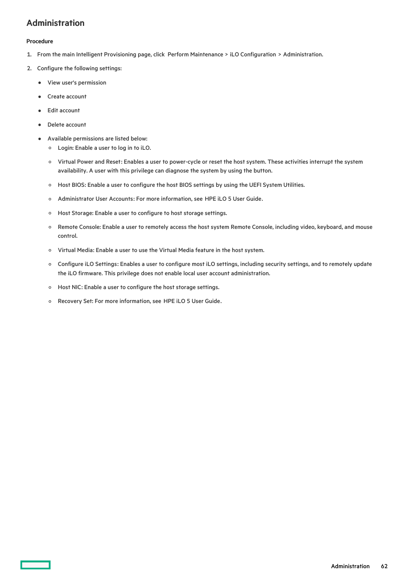# Administration

### Procedure

- 1. From the main Intelligent Provisioning page, click Perform Maintenance > iLO Configuration > Administration.
- 2. Configure the following settings:
	- View user's permission
	- Create account  $\bullet$
	- Edit account  $\bullet$
	- Delete account  $\bullet$
	- Available permissions are listed below:
		- Login: Enable a user to log in to iLO.
		- Virtual Power and Reset: Enables a user to power-cycle or reset the host system. These activities interrupt the system availability. A user with this privilege can diagnose the system by using the button.
		- Host BIOS: Enable a user to configure the host BIOS settings by using the UEFI System Utilities.
		- Administrator User Accounts: For more information, see HPE iLO 5 User Guide.
		- Host Storage: Enable a user to configure to host storage settings.
		- Remote Console: Enable a user to remotely access the host system Remote Console, including video, keyboard, and mouse control.
		- Virtual Media: Enable a user to use the Virtual Media feature in the host system.  $\circ$
		- Configure iLO Settings: Enables a user to configure most iLO settings, including security settings, and to remotely update the iLO firmware. This privilege does not enable local user account administration.
		- Host NIC: Enable a user to configure the host storage settings.
		- Recovery Set: For more information, see HPE iLO 5 User Guide.  $\circ$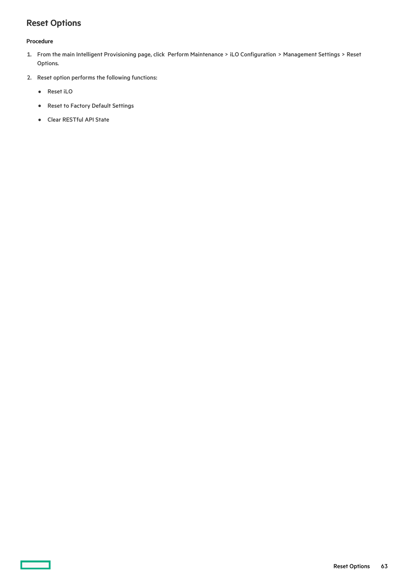## Reset Options

### Procedure

 $\overline{\phantom{a}}$ 

- 1. From the main Intelligent Provisioning page, click Perform Maintenance > iLO Configuration > Management Settings > Reset Options.
- 2. Reset option performs the following functions:
	- Reset iLO
	- Reset to Factory Default Settings
	- Clear RESTful API State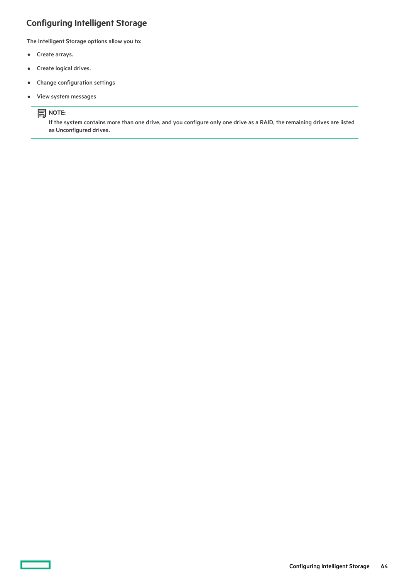# Configuring Intelligent Storage

The Intelligent Storage options allow you to:

- Create arrays.  $\bullet$
- Create logical drives.  $\bullet$
- Change configuration settings  $\bullet$
- View system messages  $\bullet$

## **同** NOTE:

If the system contains more than one drive, and you configure only one drive as a RAID, the remaining drives are listed as Unconfigured drives.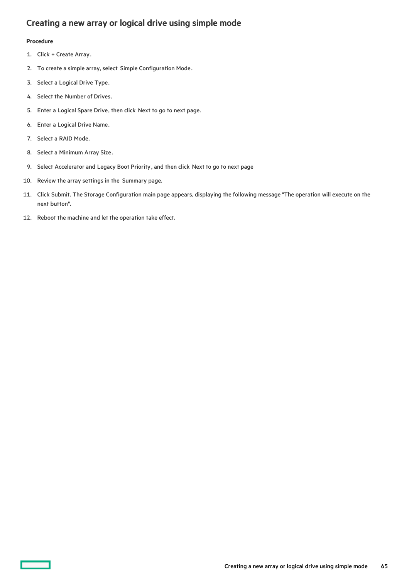## Creating a new array or logical drive using simple mode

### Procedure

- 1. Click + Create Array.
- 2. To create a simple array, select Simple Configuration Mode.
- 3. Select a Logical Drive Type.
- 4. Select the Number of Drives.
- 5. Enter a Logical Spare Drive, then click Next to go to next page.
- 6. Enter a Logical Drive Name.
- 7. Select a RAID Mode.
- 8. Select a Minimum Array Size .
- 9. Select Accelerator and Legacy Boot Priority, and then click Next to go to next page
- 10. Review the array settings in the Summary page.
- 11. Click Submit. The Storage Configuration main page appears, displaying the following message "The operation will execute on the next button".
- 12. Reboot the machine and let the operation take effect.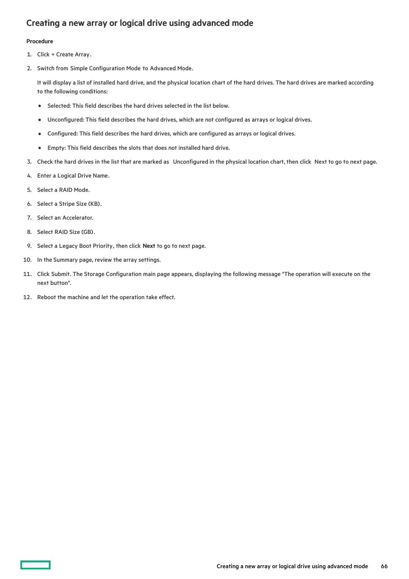## Creating a new array or logical drive using advanced mode

### Procedure

- 1. Click + Create Array.
- 2. Switch from Simple Configuration Mode to Advanced Mode.

It will display a list of installed hard drive, and the physical location chart of the hard drives. The hard drives are marked according to the following conditions:

- Selected: This field describes the hard drives selected in the list below.
- Unconfigured: This field describes the hard drives, which are not configured as arrays or logical drives.
- Configured: This field describes the hard drives, which are configured as arrays or logical drives.  $\bullet$
- Empty: This field describes the slots that does not installed hard drive.  $\bullet$
- 3. Check the hard drives in the list that are marked as Unconfigured in the physical location chart, then click Next to go to next page.
- 4. Enter a Logical Drive Name.
- 5. Select a RAID Mode.
- 6. Select a Stripe Size (KB).
- 7. Select an Accelerator.
- 8. Select RAID Size (GB).
- 9. Select a Legacy Boot Priority, then click Next to go to next page.
- 10. In the Summary page, review the array settings.
- 11. Click Submit. The Storage Configuration main page appears, displaying the following message "The operation will execute on the next button".
- 12. Reboot the machine and let the operation take effect.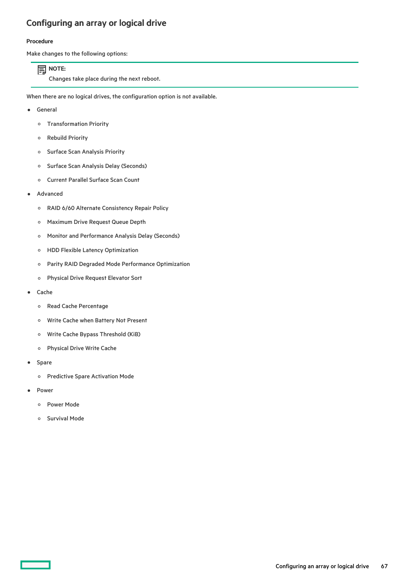## Configuring an array or logical drive

### Procedure

Make changes to the following options:

## **同**NOTE:

Changes take place during the next reboot.

When there are no logical drives, the configuration option is not available.

- $\bullet$ General
	- Transformation Priority
	- Rebuild Priority
	- o Surface Scan Analysis Priority
	- o Surface Scan Analysis Delay (Seconds)
	- Current Parallel Surface Scan Count
- Advanced  $\bullet$ 
	- RAID 6/60 Alternate Consistency Repair Policy
	- Maximum Drive Request Queue Depth
	- Monitor and Performance Analysis Delay (Seconds)
	- HDD Flexible Latency Optimization
	- Parity RAID Degraded Mode Performance Optimization  $\circ$
	- Physical Drive Request Elevator Sort
- Cache  $\bullet$ 
	- Read Cache Percentage
	- Write Cache when Battery Not Present
	- Write Cache Bypass Threshold (KiB)
	- Physical Drive Write Cache
- Spare  $\bullet$ 
	- o Predictive Spare Activation Mode
- Power
	- Power Mode
	- o Survival Mode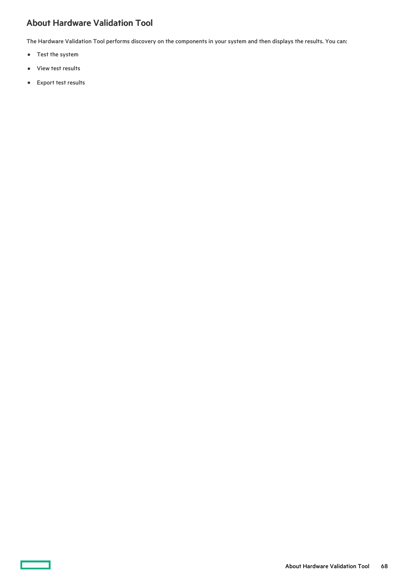# <span id="page-67-0"></span>About Hardware Validation Tool

The Hardware Validation Tool performs discovery on the components in your system and then displays the results. You can:

- Test the system
- View test results
- Export test results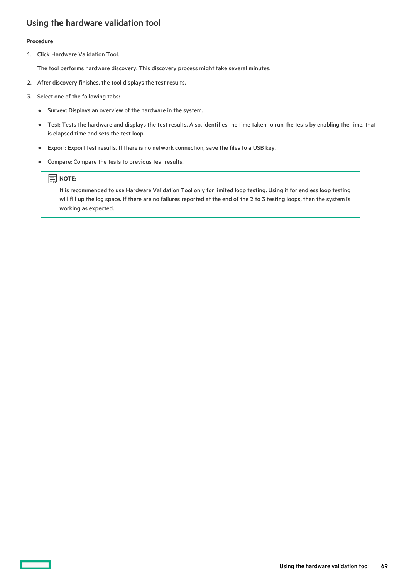## Using the hardware validation tool

### Procedure

1. Click Hardware Validation Tool.

The tool performs hardware discovery. This discovery process might take several minutes.

- 2. After discovery finishes, the tool displays the test results.
- 3. Select one of the following tabs:
	- Survey: Displays an overview of the hardware in the system.
	- Test: Tests the hardware and displays the test results. Also, identifies the time taken to run the tests by enabling the time, that is elapsed time and sets the test loop.
	- Export: Export test results. If there is no network connection, save the files to a USB key.
	- Compare: Compare the tests to previous test results.

## **同**NOTE:

It is recommended to use Hardware Validation Tool only for limited loop testing. Using it for endless loop testing will fill up the log space. If there are no failures reported at the end of the 2 to 3 testing loops, then the system is working as expected.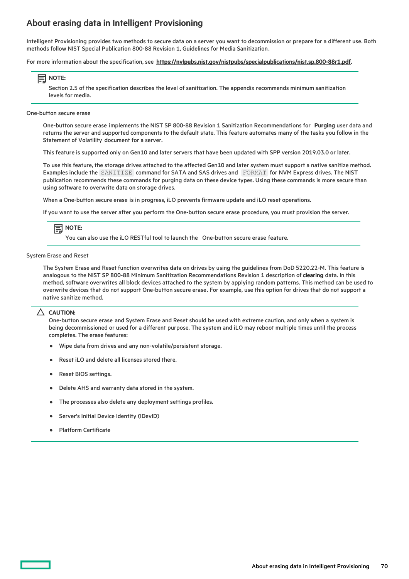## About erasing data in Intelligent Provisioning

Intelligent Provisioning provides two methods to secure data on a server you want to decommission or prepare for a different use. Both methods follow NIST Special Publication 800-88 Revision 1, Guidelines for Media Sanitization.

For more information about the specification, see <https://nvlpubs.nist.gov/nistpubs/specialpublications/nist.sp.800-88r1.pdf>.

## **ED NOTE:**

Section 2.5 of the specification describes the level of sanitization. The appendix recommends minimum sanitization levels for media.

### One-button secure erase

One-button secure erase implements the NIST SP 800-88 Revision 1 Sanitization Recommendations for Purging user data and returns the server and supported components to the default state. This feature automates many of the tasks you follow in the Statement of Volatility document for a server.

This feature is supported only on Gen10 and later servers that have been updated with SPP version 2019.03.0 or later.

To use this feature, the storage drives attached to the affected Gen10 and later system must support a native sanitize method. Examples include the SANITIZE command for SATA and SAS drives and FORMAT for NVM Express drives. The NIST publication recommends these commands for purging data on these device types. Using these commands is more secure than using software to overwrite data on storage drives.

When a One-button secure erase is in progress, iLO prevents firmware update and iLO reset operations.

If you want to use the server after you perform the One-button secure erase procedure, you must provision the server.

## **同**NOTE:

You can also use the iLO RESTful tool to launch the One-button secure erase feature.

System Erase and Reset

The System Erase and Reset function overwrites data on drives by using the guidelines from DoD 5220.22-M. This feature is analogous to the NIST SP 800-88 Minimum Sanitization Recommendations Revision 1 description of clearing data. In this method, software overwrites all block devices attached to the system by applying random patterns. This method can be used to overwrite devices that do not support One-button secure erase. For example, use this option for drives that do not support a native sanitize method.

### $\triangle$  CAUTION:

One-button secure erase and System Erase and Reset should be used with extreme caution, and only when a system is being decommissioned or used for a different purpose. The system and iLO may reboot multiple times until the process completes. The erase features:

- Wipe data from drives and any non-volatile/persistent storage.
- Reset iLO and delete all licenses stored there.
- Reset BIOS settings.
- Delete AHS and warranty data stored in the system.
- The processes also delete any deployment settings profiles.
- Server's Initial Device Identity (IDevID)
- **•** Platform Certificate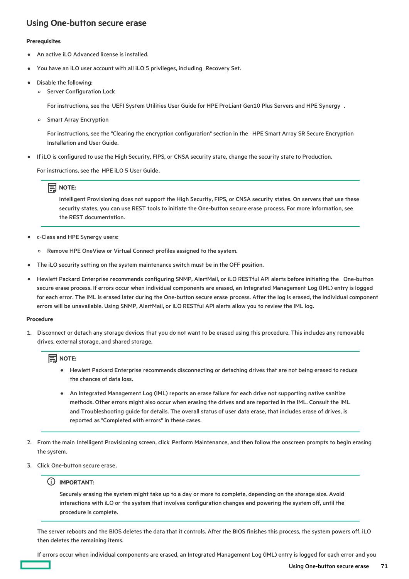## Using One-button secure erase

### **Prerequisites**

- An active iLO Advanced license is installed.
- You have an iLO user account with all iLO 5 privileges, including Recovery Set.
- Disable the following:
	- Server Configuration Lock  $\circ$

For instructions, see the UEFI System Utilities User Guide for HPE ProLiant Gen10 Plus Servers and HPE Synergy .

Smart Array Encryption

For instructions, see the "Clearing the encryption configuration" section in the HPE Smart Array SR Secure Encryption Installation and User Guide.

If iLO is configured to use the High Security, FIPS, or CNSA security state, change the security state to Production.

For instructions, see the HPE iLO 5 User Guide.

## $\Xi$  NOTE:

Intelligent Provisioning does not support the High Security, FIPS, or CNSA security states. On servers that use these security states, you can use REST tools to initiate the One-button secure erase process. For more information, see the REST documentation.

- c-Class and HPE Synergy users:
	- Remove HPE OneView or Virtual Connect profiles assigned to the system.
- The iLO security setting on the system maintenance switch must be in the OFF position.
- Hewlett Packard Enterprise recommends configuring SNMP, AlertMail, or iLO RESTful API alerts before initiating the One-button secure erase process. If errors occur when individual components are erased, an Integrated Management Log (IML) entry is logged for each error. The IML is erased later during the One-button secure erase process. After the log is erased, the individual component errors will be unavailable. Using SNMP, AlertMail, or iLO RESTful API alerts allow you to review the IML log.

### Procedure

1. Disconnect or detach any storage devices that you do not want to be erased using this procedure. This includes any removable drives, external storage, and shared storage.

## $\Xi$  NOTE:

- Hewlett Packard Enterprise recommends disconnecting or detaching drives that are not being erased to reduce the chances of data loss.
- An Integrated Management Log (IML) reports an erase failure for each drive not supporting native sanitize methods. Other errors might also occur when erasing the drives and are reported in the IML. Consult the IML and Troubleshooting guide for details. The overall status of user data erase, that includes erase of drives, is reported as "Completed with errors" in these cases.
- 2. From the main Intelligent Provisioning screen, click Perform Maintenance, and then follow the onscreen prompts to begin erasing the system.
- 3. Click One-button secure erase.

### IMPORTANT:

Securely erasing the system might take up to a day or more to complete, depending on the storage size. Avoid interactions with iLO or the system that involves configuration changes and powering the system off, until the procedure is complete.

The server reboots and the BIOS deletes the data that it controls. After the BIOS finishes this process, the system powers off. iLO then deletes the remaining items.

If errors occur when individual components are erased, an Integrated Management Log (IML) entry is logged for each error and you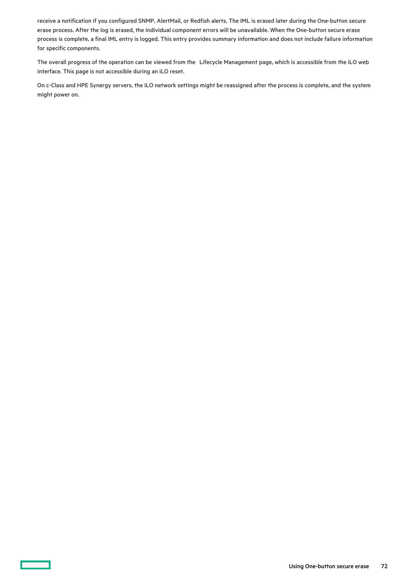receive a notification if you configured SNMP, AlertMail, or Redfish alerts. The IML is erased later during the One-button secure erase process. After the log is erased, the individual component errors will be unavailable. When the One-button secure erase process is complete, a final IML entry is logged. This entry provides summary information and does not include failure information for specific components.

The overall progress of the operation can be viewed from the Lifecycle Management page, which is accessible from the iLO web interface. This page is not accessible during an iLO reset.

On c-Class and HPE Synergy servers, the iLO network settings might be reassigned after the process is complete, and the system might power on.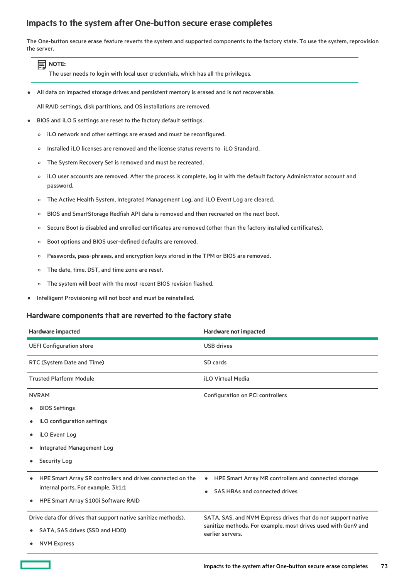### Impacts to the system after One-button secure erase completes

The One-button secure erase feature reverts the system and supported components to the factory state. To use the system, reprovision the server.

### $\mathbf{E}$  NOTE:

The user needs to login with local user credentials, which has all the privileges.

All data on impacted storage drives and persistent memory is erased and is not recoverable.

All RAID settings, disk partitions, and OS installations are removed.

- BIOS and iLO 5 settings are reset to the factory default settings.  $\bullet$ 
	- iLO network and other settings are erased and must be reconfigured.  $\circ$
	- $\circ$ Installed iLO licenses are removed and the license status reverts to iLO Standard.
	- The System Recovery Set is removed and must be recreated.  $\circ$
	- iLO user accounts are removed. After the process is complete, log in with the default factory Administrator account and  $\circ$ password.
	- The Active Health System, Integrated Management Log, and iLO Event Log are cleared.  $\circ$
	- $\circ$ BIOS and SmartStorage Redfish API data is removed and then recreated on the next boot.
	- Secure Boot is disabled and enrolled certificates are removed (other than the factory installed certificates).  $\circ$
	- Boot options and BIOS user-defined defaults are removed.  $\circ$
	- Passwords, pass-phrases, and encryption keys stored in the TPM or BIOS are removed.  $\circ$
	- The date, time, DST, and time zone are reset.  $\circ$
	- The system will boot with the most recent BIOS revision flashed.  $\circ$
- Intelligent Provisioning will not boot and must be reinstalled.  $\bullet$

### Hardware components that are reverted to the factory state

| <b>Hardware impacted</b>                                                                                                                                         | <b>Hardware not impacted</b>                                                                                                                      |
|------------------------------------------------------------------------------------------------------------------------------------------------------------------|---------------------------------------------------------------------------------------------------------------------------------------------------|
| <b>UEFI Configuration store</b>                                                                                                                                  | <b>USB drives</b>                                                                                                                                 |
| RTC (System Date and Time)                                                                                                                                       | SD cards                                                                                                                                          |
| <b>Trusted Platform Module</b>                                                                                                                                   | <b>iLO Virtual Media</b>                                                                                                                          |
| <b>NVRAM</b><br><b>BIOS Settings</b><br>iLO configuration settings<br>۰<br>iLO Event Log<br>$\bullet$<br><b>Integrated Management Log</b><br><b>Security Log</b> | <b>Configuration on PCI controllers</b>                                                                                                           |
| HPE Smart Array SR controllers and drives connected on the<br>٠<br>internal ports. For example, 3I:1:1<br>HPE Smart Array S100i Software RAID                    | HPE Smart Array MR controllers and connected storage<br>$\bullet$<br><b>SAS HBAs and connected drives</b>                                         |
| Drive data (for drives that support native sanitize methods).<br>SATA, SAS drives (SSD and HDD)<br><b>NVM Express</b>                                            | SATA, SAS, and NVM Express drives that do not support native<br>sanitize methods. For example, most drives used with Gen9 and<br>earlier servers. |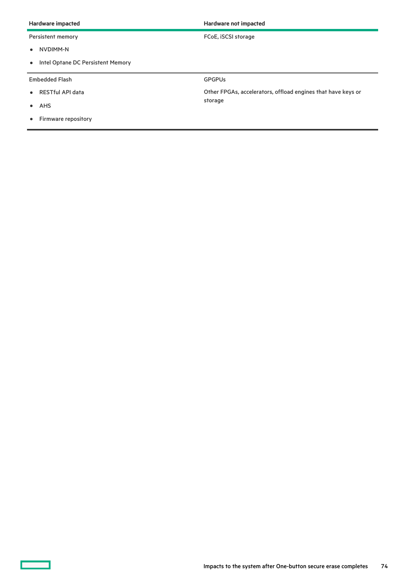| <b>Hardware impacted</b>                       | <b>Hardware not impacted</b>                                            |
|------------------------------------------------|-------------------------------------------------------------------------|
| <b>Persistent memory</b>                       | FCoE, iSCSI storage                                                     |
| <b>NVDIMM-N</b><br>$\bullet$                   |                                                                         |
| Intel Optane DC Persistent Memory<br>$\bullet$ |                                                                         |
| <b>Embedded Flash</b>                          | <b>GPGPUs</b>                                                           |
| <b>RESTful API data</b><br>$\bullet$           | Other FPGAs, accelerators, offload engines that have keys or<br>storage |
| <b>AHS</b><br>$\bullet$                        |                                                                         |
| Firmware repository<br>$\bullet$               |                                                                         |

 $\overline{\phantom{a}}$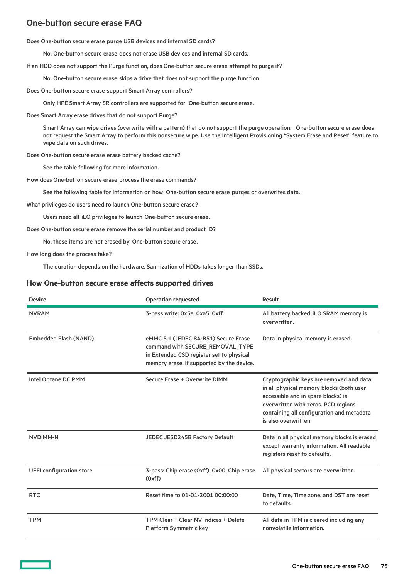### One-button secure erase FAQ

Does One-button secure erase purge USB devices and internal SD cards?

No. One-button secure erase does not erase USB devices and internal SD cards.

If an HDD does not support the Purge function, does One-button secure erase attempt to purge it?

No. One-button secure erase skips a drive that does not support the purge function.

Does One-button secure erase support Smart Array controllers?

Only HPE Smart Array SR controllers are supported for One-button secure erase.

Does Smart Array erase drives that do not support Purge?

Smart Array can wipe drives (overwrite with a pattern) that do not support the purge operation. One-button secure erase does not request the Smart Array to perform this nonsecure wipe. Use the Intelligent Provisioning "System Erase and Reset" feature to wipe data on such drives.

Does One-button secure erase erase battery backed cache?

See the table following for more information.

How does One-button secure erase process the erase commands?

See the following table for information on how One-button secure erase purges or overwrites data.

What privileges do users need to launch One-button secure erase?

Users need all iLO privileges to launch One-button secure erase.

Does One-button secure erase remove the serial number and product ID?

No, these items are not erased by One-button secure erase.

How long does the process take?

The duration depends on the hardware. Sanitization of HDDs takes longer than SSDs.

### How One-button secure erase affects supported drives

| <b>Device</b>                   | <b>Operation requested</b>                                                                                                                                        | <b>Result</b>                                                                                                                                                                                                                         |
|---------------------------------|-------------------------------------------------------------------------------------------------------------------------------------------------------------------|---------------------------------------------------------------------------------------------------------------------------------------------------------------------------------------------------------------------------------------|
| <b>NVRAM</b>                    | 3-pass write: 0x5a, 0xa5, 0xff                                                                                                                                    | All battery backed iLO SRAM memory is<br>overwritten.                                                                                                                                                                                 |
| <b>Embedded Flash (NAND)</b>    | eMMC 5.1 (JEDEC 84-B51) Secure Erase<br>command with SECURE_REMOVAL_TYPE<br>in Extended CSD register set to physical<br>memory erase, if supported by the device. | Data in physical memory is erased.                                                                                                                                                                                                    |
| Intel Optane DC PMM             | Secure Erase + Overwrite DIMM                                                                                                                                     | Cryptographic keys are removed and data<br>in all physical memory blocks (both user<br>accessible and in spare blocks) is<br>overwritten with zeros. PCD regions<br>containing all configuration and metadata<br>is also overwritten. |
| <b>NVDIMM-N</b>                 | JEDEC JESD245B Factory Default                                                                                                                                    | Data in all physical memory blocks is erased<br>except warranty information. All readable<br>registers reset to defaults.                                                                                                             |
| <b>UEFI</b> configuration store | 3-pass: Chip erase (0xff), 0x00, Chip erase<br>(0xff)                                                                                                             | All physical sectors are overwritten.                                                                                                                                                                                                 |
| <b>RTC</b>                      | Reset time to 01-01-2001 00:00:00                                                                                                                                 | Date, Time, Time zone, and DST are reset<br>to defaults.                                                                                                                                                                              |
| <b>TPM</b>                      | TPM Clear + Clear NV indices + Delete<br>Platform Symmetric key                                                                                                   | All data in TPM is cleared including any<br>nonvolatile information.                                                                                                                                                                  |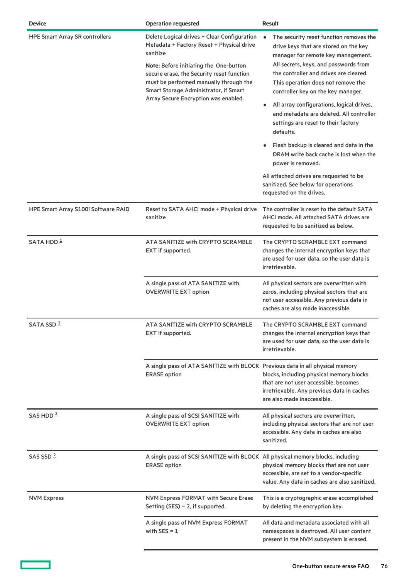<span id="page-75-0"></span>

| <b>Device</b>                                                                                                                                                                                                                                                                                                                                                   | <b>Operation requested</b>                                                                                                                                                                                                                                                                                                                                                                  | <b>Result</b>                                                                                                                                                              |
|-----------------------------------------------------------------------------------------------------------------------------------------------------------------------------------------------------------------------------------------------------------------------------------------------------------------------------------------------------------------|---------------------------------------------------------------------------------------------------------------------------------------------------------------------------------------------------------------------------------------------------------------------------------------------------------------------------------------------------------------------------------------------|----------------------------------------------------------------------------------------------------------------------------------------------------------------------------|
| Delete Logical drives + Clear Configuration<br><b>HPE Smart Array SR controllers</b><br>Metadata + Factory Reset + Physical drive<br>sanitize<br>Note: Before initiating the One-button<br>secure erase, the Security reset function<br>must be performed manually through the<br>Smart Storage Administrator, if Smart<br>Array Secure Encryption was enabled. | The security reset function removes the<br>$\bullet$<br>drive keys that are stored on the key<br>manager for remote key management.<br>All secrets, keys, and passwords from<br>the controller and drives are cleared.<br>This operation does not remove the<br>controller key on the key manager.<br>All array configurations, logical drives,<br>and metadata are deleted. All controller |                                                                                                                                                                            |
|                                                                                                                                                                                                                                                                                                                                                                 |                                                                                                                                                                                                                                                                                                                                                                                             | settings are reset to their factory<br>defaults.                                                                                                                           |
|                                                                                                                                                                                                                                                                                                                                                                 |                                                                                                                                                                                                                                                                                                                                                                                             | Flash backup is cleared and data in the<br>DRAM write back cache is lost when the<br>power is removed.                                                                     |
|                                                                                                                                                                                                                                                                                                                                                                 |                                                                                                                                                                                                                                                                                                                                                                                             | All attached drives are requested to be<br>sanitized. See below for operations<br>requested on the drives.                                                                 |
| HPE Smart Array S100i Software RAID                                                                                                                                                                                                                                                                                                                             | Reset to SATA AHCI mode + Physical drive<br>sanitize                                                                                                                                                                                                                                                                                                                                        | The controller is reset to the default SATA<br>AHCI mode. All attached SATA drives are<br>requested to be sanitized as below.                                              |
| SATA HDD $1$                                                                                                                                                                                                                                                                                                                                                    | ATA SANITIZE with CRYPTO SCRAMBLE<br>EXT if supported.                                                                                                                                                                                                                                                                                                                                      | The CRYPTO SCRAMBLE EXT command<br>changes the internal encryption keys that<br>are used for user data, so the user data is<br>irretrievable.                              |
|                                                                                                                                                                                                                                                                                                                                                                 | A single pass of ATA SANITIZE with<br><b>OVERWRITE EXT option</b>                                                                                                                                                                                                                                                                                                                           | All physical sectors are overwritten with<br>zeros, including physical sectors that are<br>not user accessible. Any previous data in<br>caches are also made inaccessible. |
| SATA SSD <sup>1</sup>                                                                                                                                                                                                                                                                                                                                           | ATA SANITIZE with CRYPTO SCRAMBLE<br>EXT if supported.                                                                                                                                                                                                                                                                                                                                      | The CRYPTO SCRAMBLE EXT command<br>changes the internal encryption keys that<br>are used for user data, so the user data is<br>irretrievable.                              |
|                                                                                                                                                                                                                                                                                                                                                                 | A single pass of ATA SANITIZE with BLOCK Previous data in all physical memory<br><b>ERASE option</b>                                                                                                                                                                                                                                                                                        | blocks, including physical memory blocks<br>that are not user accessible, becomes<br>irretrievable. Any previous data in caches<br>are also made inaccessible.             |
| SAS HDD $2$                                                                                                                                                                                                                                                                                                                                                     | A single pass of SCSI SANITIZE with<br><b>OVERWRITE EXT option</b>                                                                                                                                                                                                                                                                                                                          | All physical sectors are overwritten,<br>including physical sectors that are not user<br>accessible. Any data in caches are also<br>sanitized.                             |
| SAS SSD <sup>2</sup>                                                                                                                                                                                                                                                                                                                                            | A single pass of SCSI SANITIZE with BLOCK All physical memory blocks, including<br><b>ERASE</b> option                                                                                                                                                                                                                                                                                      | physical memory blocks that are not user<br>accessible, are set to a vendor-specific<br>value. Any data in caches are also sanitized.                                      |
| <b>NVM Express</b>                                                                                                                                                                                                                                                                                                                                              | <b>NVM Express FORMAT with Secure Erase</b><br>Setting (SES) = 2, if supported.                                                                                                                                                                                                                                                                                                             | This is a cryptographic erase accomplished<br>by deleting the encryption key.                                                                                              |
|                                                                                                                                                                                                                                                                                                                                                                 | A single pass of NVM Express FORMAT<br>with $SES = 1$                                                                                                                                                                                                                                                                                                                                       | All data and metadata associated with all<br>namespaces is destroyed. All user content<br>present in the NVM subsystem is erased.                                          |

<span id="page-75-1"></span> $\overline{\phantom{0}}$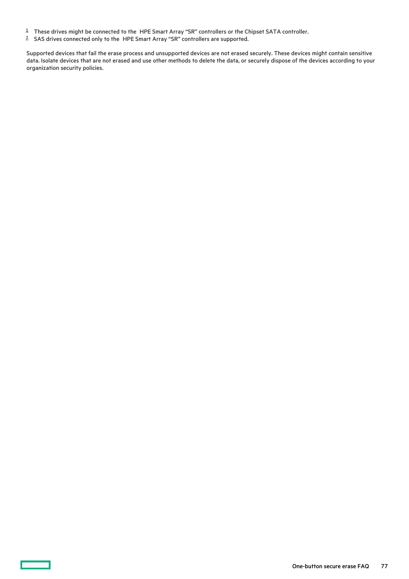- <span id="page-76-0"></span> $1$  These drives might be connected to the HPE Smart Array "SR" controllers or the Chipset SATA controller.
- <span id="page-76-1"></span> $2$  SAS drives connected only to the HPE Smart Array "SR" controllers are supported.

Supported devices that fail the erase process and unsupported devices are not erased securely. These devices might contain sensitive data. Isolate devices that are not erased and use other methods to delete the data, or securely dispose of the devices according to your organization security policies.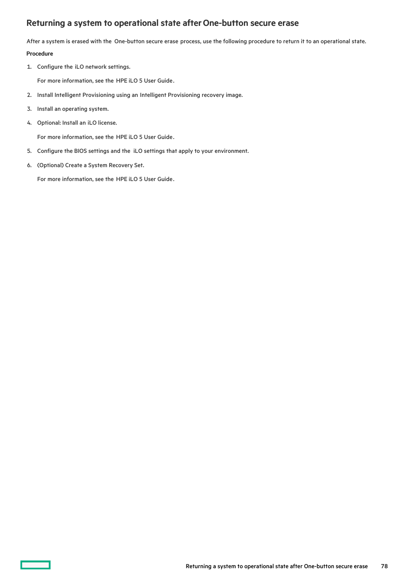### Returning a system to operational state after One-button secure erase

After a system is erased with the One-button secure erase process, use the following procedure to return it to an operational state.

### Procedure

1. Configure the iLO network settings.

For more information, see the HPE iLO 5 User Guide.

- 2. Install Intelligent Provisioning using an Intelligent Provisioning recovery image.
- 3. Install an operating system.
- 4. Optional: Install an iLO license.

For more information, see the HPE iLO 5 User Guide.

- 5. Configure the BIOS settings and the iLO settings that apply to your environment.
- 6. (Optional) Create a System Recovery Set.

For more information, see the HPE iLO 5 User Guide.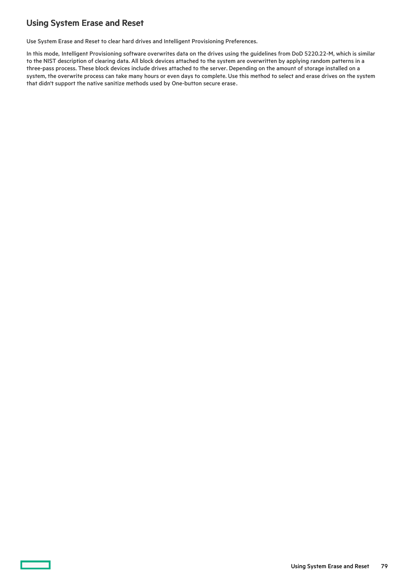## Using System Erase and Reset

Use System Erase and Reset to clear hard drives and Intelligent Provisioning Preferences.

In this mode, Intelligent Provisioning software overwrites data on the drives using the guidelines from DoD 5220.22-M, which is similar to the NIST description of clearing data. All block devices attached to the system are overwritten by applying random patterns in a three-pass process. These block devices include drives attached to the server. Depending on the amount of storage installed on a system, the overwrite process can take many hours or even days to complete. Use this method to select and erase drives on the system that didn't support the native sanitize methods used by One-button secure erase.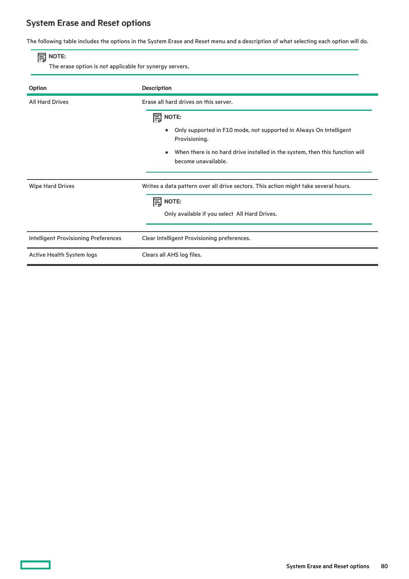## System Erase and Reset options

The following table includes the options in the System Erase and Reset menu and a description of what selecting each option will do.

| <b>NOTE:</b><br>冃<br>The erase option is not applicable for synergy servers. |                                                                                                                    |  |
|------------------------------------------------------------------------------|--------------------------------------------------------------------------------------------------------------------|--|
| Option                                                                       | <b>Description</b>                                                                                                 |  |
| <b>All Hard Drives</b>                                                       | Erase all hard drives on this server.                                                                              |  |
|                                                                              | <b>同</b> NOTE:<br>Only supported in F10 mode, not supported in Always On Intelligent<br>$\bullet$<br>Provisioning. |  |
|                                                                              | When there is no hard drive installed in the system, then this function will<br>$\bullet$<br>become unavailable.   |  |

| <b>Wipe Hard Drives</b>                     | Writes a data pattern over all drive sectors. This action might take several hours. |
|---------------------------------------------|-------------------------------------------------------------------------------------|
|                                             | $\Xi$ NOTE:<br>Only available if you select All Hard Drives.                        |
| <b>Intelligent Provisioning Preferences</b> | Clear Intelligent Provisioning preferences.                                         |
| <b>Active Health System logs</b>            | Clears all AHS log files.                                                           |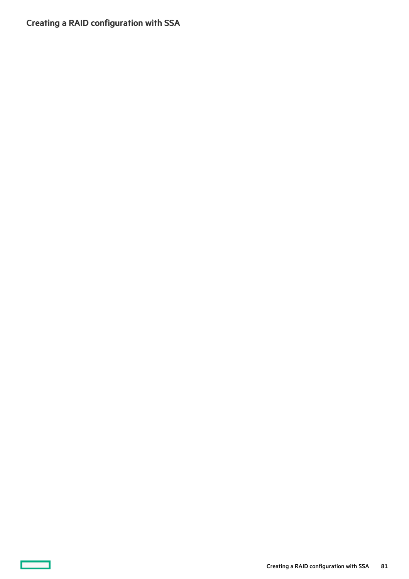# Creating a RAID configuration with SSA

<u>a sa Ba</u>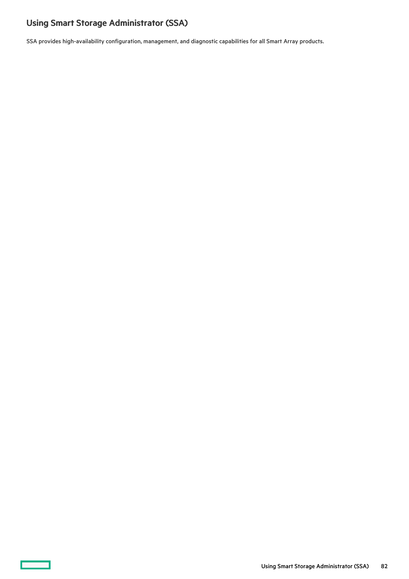## Using Smart Storage Administrator (SSA)

SSA provides high-availability configuration, management, and diagnostic capabilities for all Smart Array products.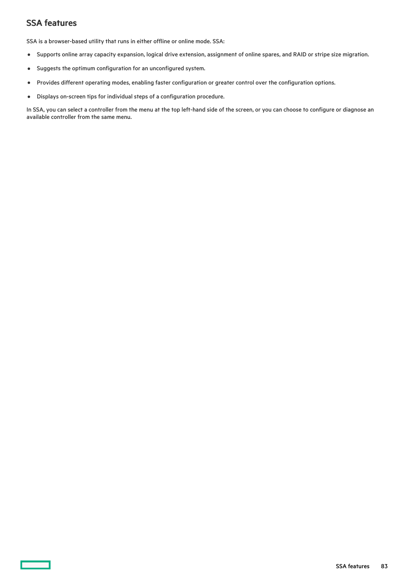### SSA features

SSA is a browser-based utility that runs in either offline or online mode. SSA:

- Supports online array capacity expansion, logical drive extension, assignment of online spares, and RAID or stripe size migration.  $\bullet$
- Suggests the optimum configuration for an unconfigured system.  $\bullet$
- $\bullet$ Provides different operating modes, enabling faster configuration or greater control over the configuration options.
- Displays on-screen tips for individual steps of a configuration procedure.

In SSA, you can select a controller from the menu at the top left-hand side of the screen, or you can choose to configure or diagnose an available controller from the same menu.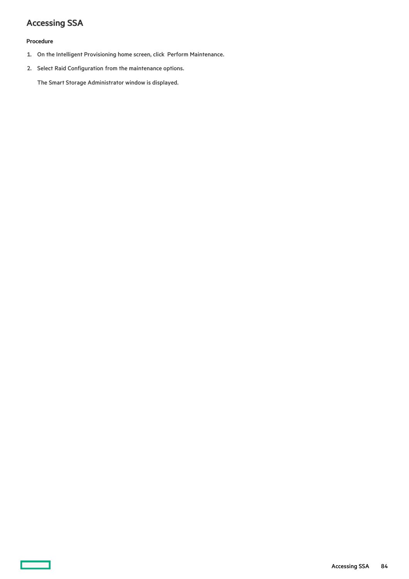## Accessing SSA

### Procedure

 $\overline{\phantom{a}}$ 

- 1. On the Intelligent Provisioning home screen, click Perform Maintenance.
- 2. Select Raid Configuration from the maintenance options.

The Smart Storage Administrator window is displayed.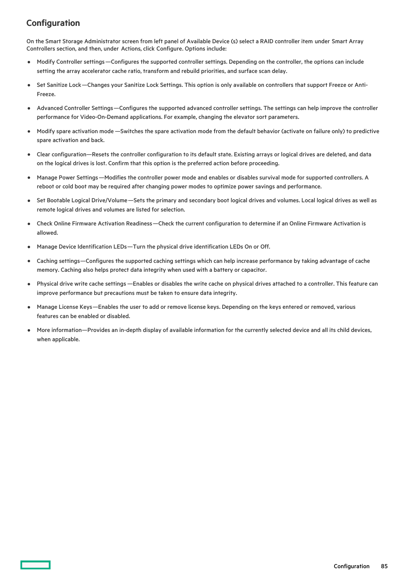## **Configuration**

On the Smart Storage Administrator screen from left panel of Available Device (s) select a RAID controller item under Smart Array Controllers section, and then, under Actions, click Configure. Options include:

- Modify Controller settings—Configures the supported controller settings. Depending on the controller, the options can include  $\bullet$ setting the array accelerator cache ratio, transform and rebuild priorities, and surface scan delay.
- Set Sanitize Lock—Changes your Sanitize Lock Settings. This option is only available on controllers that support Freeze or Anti-Freeze.
- Advanced Controller Settings—Configures the supported advanced controller settings. The settings can help improve the controller performance for Video-On-Demand applications. For example, changing the elevator sort parameters.
- Modify spare activation mode —Switches the spare activation mode from the default behavior (activate on failure only) to predictive spare activation and back.
- Clear configuration—Resets the controller configuration to its default state. Existing arrays or logical drives are deleted, and data on the logical drives is lost. Confirm that this option is the preferred action before proceeding.
- Manage Power Settings—Modifies the controller power mode and enables or disables survival mode for supported controllers. A reboot or cold boot may be required after changing power modes to optimize power savings and performance.
- Set Bootable Logical Drive/Volume—Sets the primary and secondary boot logical drives and volumes. Local logical drives as well as remote logical drives and volumes are listed for selection.
- Check Online Firmware Activation Readiness—Check the current configuration to determine if an Online Firmware Activation is allowed.
- Manage Device Identification LEDs—Turn the physical drive identification LEDs On or Off.
- Caching settings—Configures the supported caching settings which can help increase performance by taking advantage of cache  $\bullet$ memory. Caching also helps protect data integrity when used with a battery or capacitor.
- Physical drive write cache settings —Enables or disables the write cache on physical drives attached to a controller. This feature can improve performance but precautions must be taken to ensure data integrity.
- Manage License Keys—Enables the user to add or remove license keys. Depending on the keys entered or removed, various features can be enabled or disabled.
- More information—Provides an in-depth display of available information for the currently selected device and all its child devices, when applicable.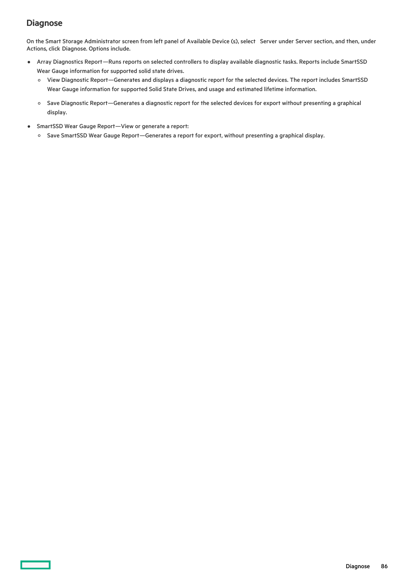### **Diagnose**

On the Smart Storage Administrator screen from left panel of Available Device (s), select Server under Server section, and then, under Actions, click Diagnose. Options include.

- Array Diagnostics Report—Runs reports on selected controllers to display available diagnostic tasks. Reports include SmartSSD Wear Gauge information for supported solid state drives.
	- View Diagnostic Report—Generates and displays a diagnostic report for the selected devices. The report includes SmartSSD Wear Gauge information for supported Solid State Drives, and usage and estimated lifetime information.
	- Save Diagnostic Report—Generates a diagnostic report for the selected devices for export without presenting a graphical display.
- SmartSSD Wear Gauge Report—View or generate a report:  $\bullet$ 
	- $\circ$  Save SmartSSD Wear Gauge Report—Generates a report for export, without presenting a graphical display.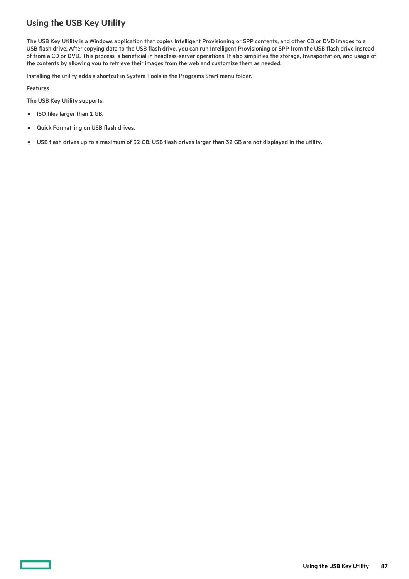## <span id="page-86-0"></span>Using the USB Key Utility

The USB Key Utility is a Windows application that copies Intelligent Provisioning or SPP contents, and other CD or DVD images to a USB flash drive. After copying data to the USB flash drive, you can run Intelligent Provisioning or SPP from the USB flash drive instead of from a CD or DVD. This process is beneficial in headless-server operations. It also simplifies the storage, transportation, and usage of the contents by allowing you to retrieve their images from the web and customize them as needed.

Installing the utility adds a shortcut in System Tools in the Programs Start menu folder.

### Features

The USB Key Utility supports:

- ISO files larger than 1 GB.
- Quick Formatting on USB flash drives.  $\bullet$
- USB flash drives up to a maximum of 32 GB. USB flash drives larger than 32 GB are not displayed in the utility.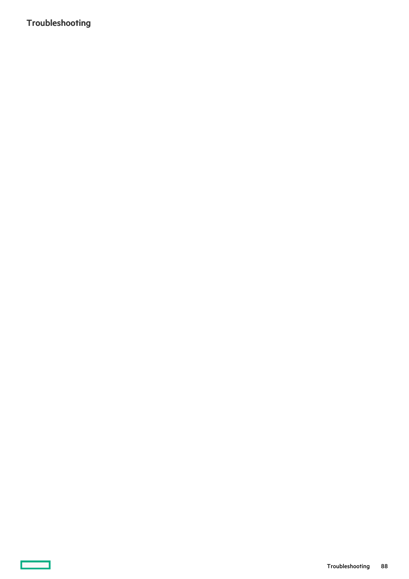# Troubleshooting

 $\mathcal{L}(\mathcal{L})$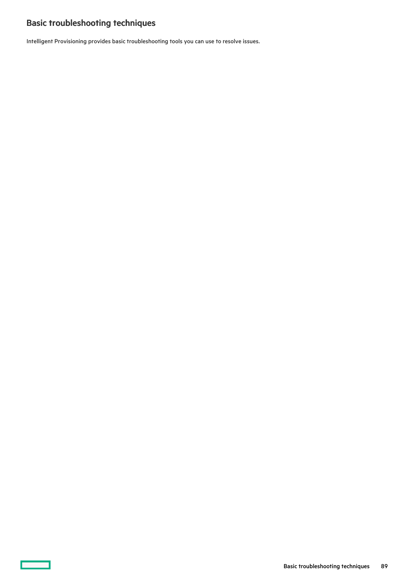## Basic troubleshooting techniques

 $\overline{\phantom{a}}$ 

Intelligent Provisioning provides basic troubleshooting tools you can use to resolve issues.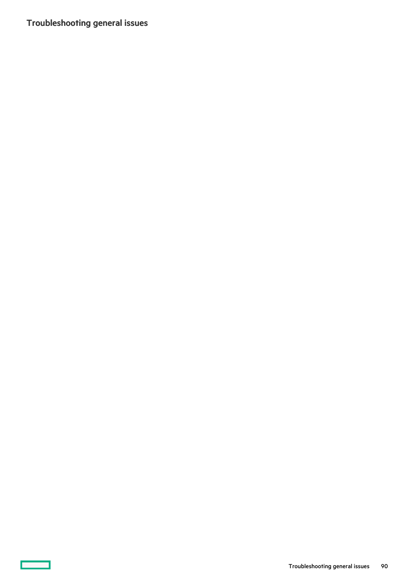Troubleshooting general issues

 $\overline{\phantom{a}}$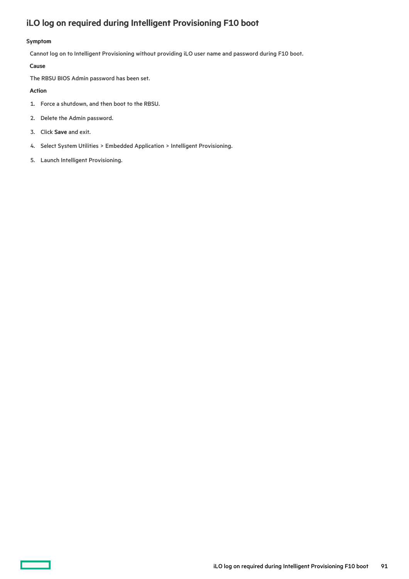### iLO log on required during Intelligent Provisioning F10 boot

### Symptom

Cannot log on to Intelligent Provisioning without providing iLO user name and password during F10 boot.

### Cause

The RBSU BIOS Admin password has been set.

### Action

- 1. Force a shutdown, and then boot to the RBSU.
- 2. Delete the Admin password.
- 3. Click Save and exit.
- 4. Select System Utilities > Embedded Application > Intelligent Provisioning.
- 5. Launch Intelligent Provisioning.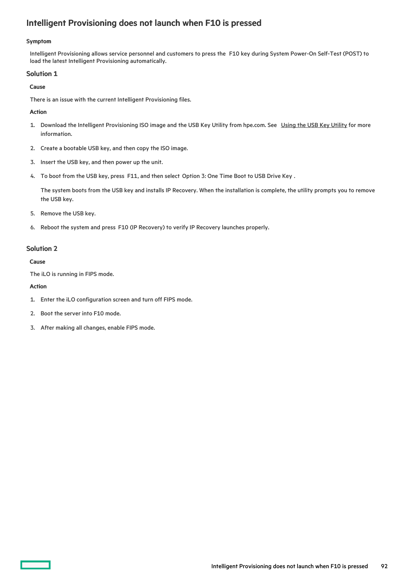### Intelligent Provisioning does not launch when F10 is pressed

#### Symptom

Intelligent Provisioning allows service personnel and customers to press the F10 key during System Power-On Self-Test (POST) to load the latest Intelligent Provisioning automatically.

### Solution 1

#### Cause

There is an issue with the current Intelligent Provisioning files.

#### Action

- 1. Download the Intelligent Provisioning ISO image and the USB Key [Utility](#page-86-0) from hpe.com. See Using the USB Key Utility for more information.
- 2. Create a bootable USB key, and then copy the ISO image.
- 3. Insert the USB key, and then power up the unit.
- 4. To boot from the USB key, press F11, and then select Option 3: One Time Boot to USB Drive Key .

The system boots from the USB key and installs IP Recovery. When the installation is complete, the utility prompts you to remove the USB key.

- 5. Remove the USB key.
- 6. Reboot the system and press F10 (IP Recovery) to verify IP Recovery launches properly.

### Solution 2

#### Cause

The iLO is running in FIPS mode.

#### Action

- 1. Enter the iLO configuration screen and turn off FIPS mode.
- 2. Boot the server into F10 mode.
- 3. After making all changes, enable FIPS mode.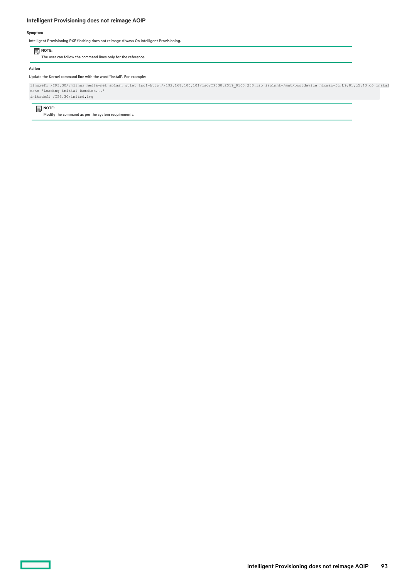#### Intelligent Provisioning does not reimage AOIP

#### Symptom

Intelligent Provisioning PXE flashing does not reimage Always On Intelligent Provisioning.

### **同NOTE:**

The user can follow the command lines only for the reference.

#### Action

#### Update the Kernel command line with the word "Install". For example:

linuxefi /IP3.30/vmlinuz media=net splash quiet iso1=http://192.168.100.101/iso/IP330.2019\_0103.230.iso iso1mnt=/mnt/bootdevice nicmac=5c:b9:01:c5:43:d0 install echo 'Loading initial Ramdisk...'

initrdefi /IP3.30/initrd.img

### **同** NOTE:

Modify the command as per the system requirements.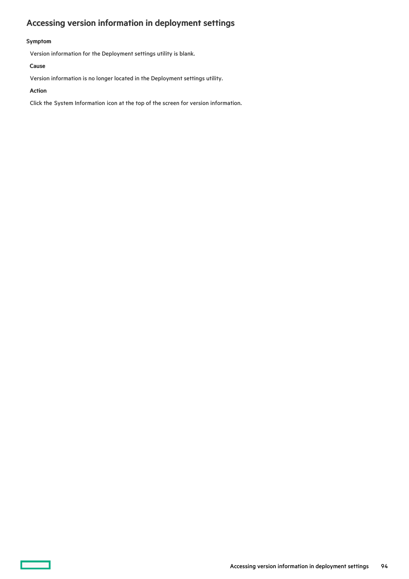## Accessing version information in deployment settings

### Symptom

Version information for the Deployment settings utility is blank.

### Cause

Version information is no longer located in the Deployment settings utility.

#### Action

Click the System Information icon at the top of the screen for version information.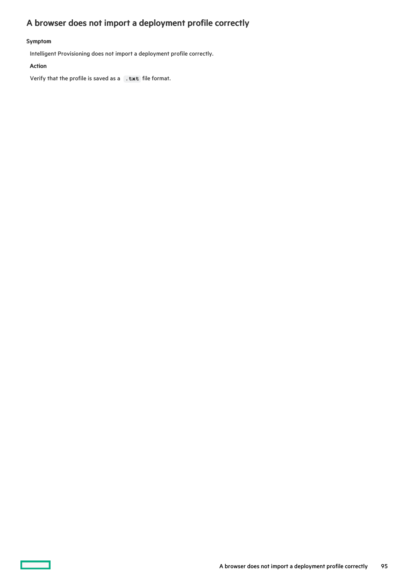## A browser does not import a deployment profile correctly

### Symptom

Intelligent Provisioning does not import a deployment profile correctly.

### Action

 $\sim$ 

Verify that the profile is saved as a **.txt** file format.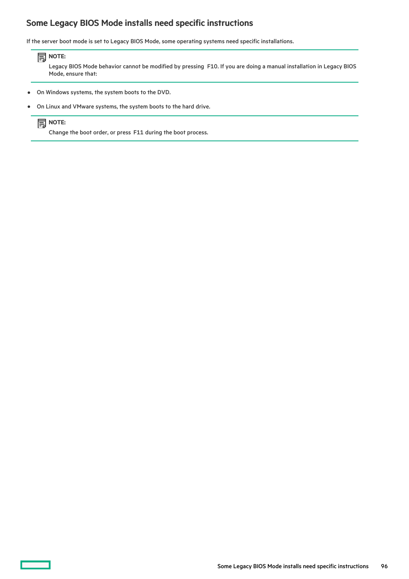### Some Legacy BIOS Mode installs need specific instructions

If the server boot mode is set to Legacy BIOS Mode, some operating systems need specific installations.

### **同**NOTE:

Legacy BIOS Mode behavior cannot be modified by pressing F10. If you are doing a manual installation in Legacy BIOS Mode, ensure that:

- On Windows systems, the system boots to the DVD.  $\bullet$
- On Linux and VMware systems, the system boots to the hard drive.  $\bullet$

### **同**NOTE:

Change the boot order, or press F11 during the boot process.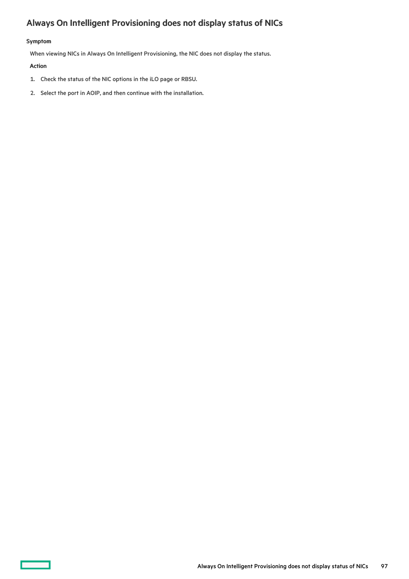## Always On Intelligent Provisioning does not display status of NICs

### Symptom

When viewing NICs in Always On Intelligent Provisioning, the NIC does not display the status.

### Action

- 1. Check the status of the NIC options in the iLO page or RBSU.
- 2. Select the port in AOIP, and then continue with the installation.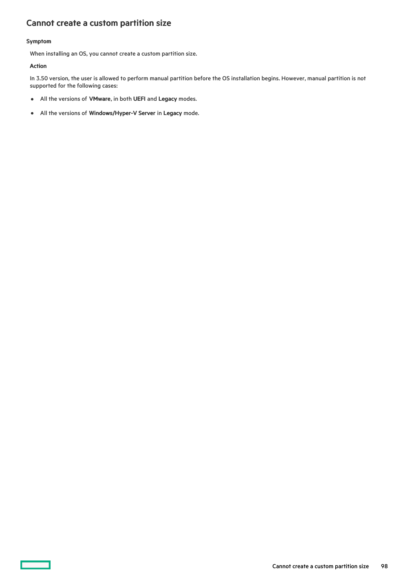### Cannot create a custom partition size

### Symptom

When installing an OS, you cannot create a custom partition size.

### Action

 $\overline{\phantom{a}}$ 

In 3.50 version, the user is allowed to perform manual partition before the OS installation begins. However, manual partition is not supported for the following cases:

- All the versions of VMware, in both UEFI and Legacy modes.
- All the versions of Windows/Hyper-V Server in Legacy mode.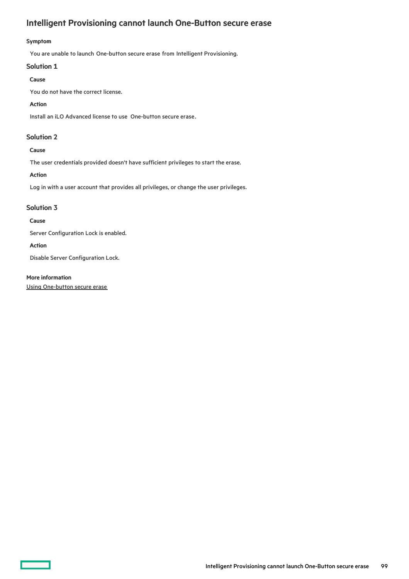### Intelligent Provisioning cannot launch One-Button secure erase

### Symptom

You are unable to launch One-button secure erase from Intelligent Provisioning.

### Solution 1

### Cause

You do not have the correct license.

### Action

Install an iLO Advanced license to use One-button secure erase.

### Solution 2

### Cause

The user credentials provided doesn't have sufficient privileges to start the erase.

### Action

Log in with a user account that provides all privileges, or change the user privileges.

### Solution 3

### Cause

Server Configuration Lock is enabled.

### Action

Disable Server Configuration Lock.

### More information

Using [One-button](#page-70-0) secure erase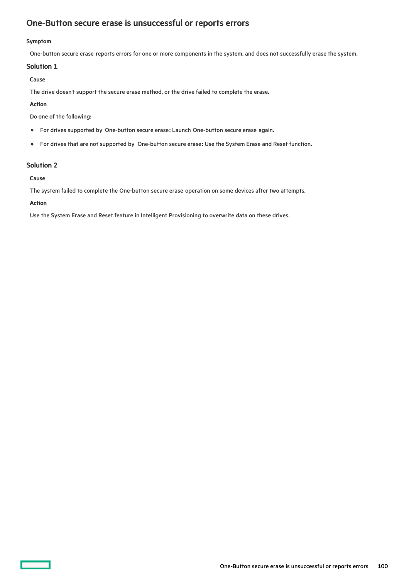### One-Button secure erase is unsuccessful or reports errors

#### Symptom

One-button secure erase reports errors for one or more components in the system, and does not successfully erase the system.

### Solution 1

### Cause

The drive doesn't support the secure erase method, or the drive failed to complete the erase.

#### Action

Do one of the following:

- For drives supported by One-button secure erase: Launch One-button secure erase again.
- $\bullet$ For drives that are not supported by One-button secure erase: Use the System Erase and Reset function.

### Solution 2

### Cause

The system failed to complete the One-button secure erase operation on some devices after two attempts.

#### Action

Use the System Erase and Reset feature in Intelligent Provisioning to overwrite data on these drives.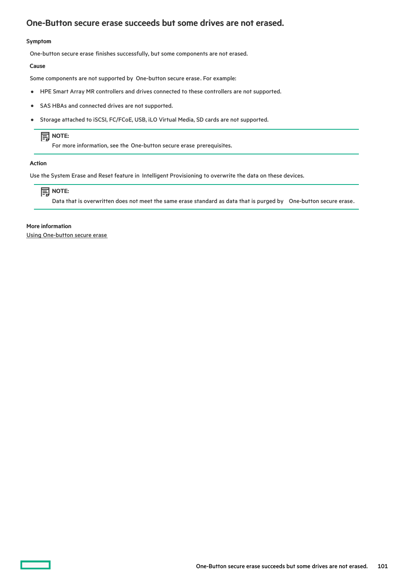### One-Button secure erase succeeds but some drives are not erased.

### Symptom

One-button secure erase finishes successfully, but some components are not erased.

#### Cause

Some components are not supported by One-button secure erase. For example:

- HPE Smart Array MR controllers and drives connected to these controllers are not supported.  $\bullet$
- $\bullet$ SAS HBAs and connected drives are not supported.
- Storage attached to iSCSI, FC/FCoE, USB, iLO Virtual Media, SD cards are not supported.  $\bullet$

### **司**NOTE:

For more information, see the One-button secure erase prerequisites.

#### Action

Use the System Erase and Reset feature in Intelligent Provisioning to overwrite the data on these devices.

### **目**NOTE:

Data that is overwritten does not meet the same erase standard as data that is purged by One-button secure erase.

More information

Using [One-button](#page-70-0) secure erase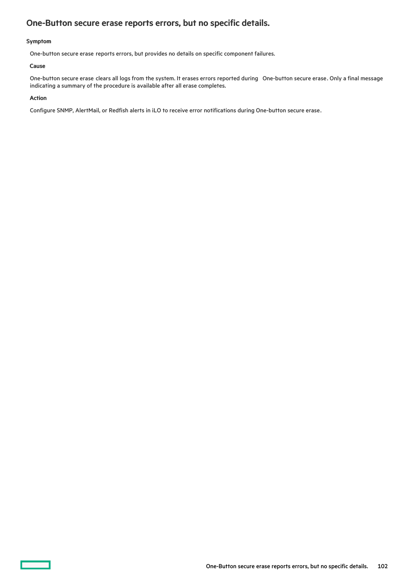### One-Button secure erase reports errors, but no specific details.

### Symptom

One-button secure erase reports errors, but provides no details on specific component failures.

#### Cause

One-button secure erase clears all logs from the system. It erases errors reported during One-button secure erase. Only a final message indicating a summary of the procedure is available after all erase completes.

#### Action

Configure SNMP, AlertMail, or Redfish alerts in iLO to receive error notifications during One-button secure erase.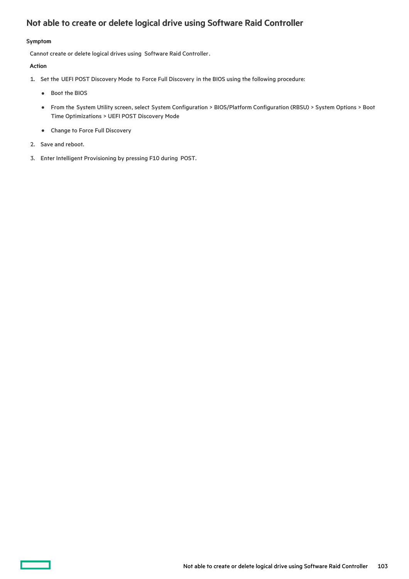### Not able to create or delete logical drive using Software Raid Controller

### Symptom

Cannot create or delete logical drives using Software Raid Controller.

### Action

- 1. Set the UEFI POST Discovery Mode to Force Full Discovery in the BIOS using the following procedure:
	- Boot the BIOS
	- From the System Utility screen, select System Configuration > BIOS/Platform Configuration (RBSU) > System Options > Boot Time Optimizations > UEFI POST Discovery Mode
	- Change to Force Full Discovery
- 2. Save and reboot.
- 3. Enter Intelligent Provisioning by pressing F10 during POST.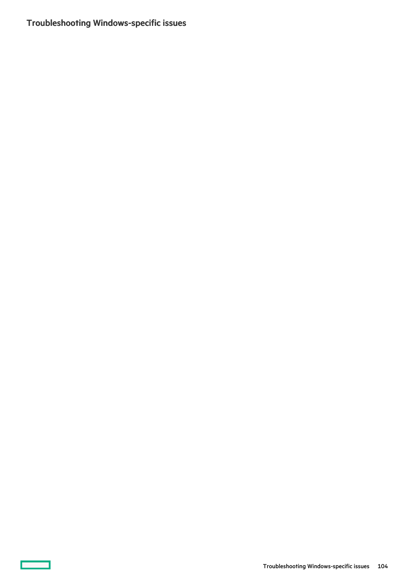Troubleshooting Windows-specific issues

<u>a sa Ba</u>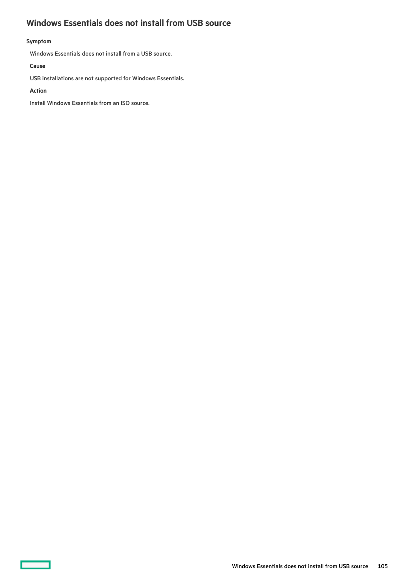### Windows Essentials does not install from USB source

### Symptom

Windows Essentials does not install from a USB source.

#### Cause

USB installations are not supported for Windows Essentials.

#### Action

 $\overline{\phantom{0}}$ 

Install Windows Essentials from an ISO source.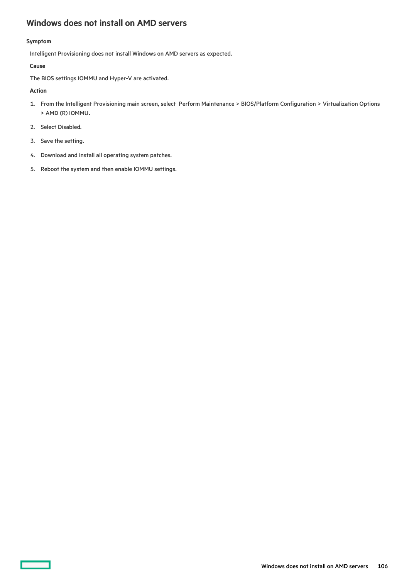### Windows does not install on AMD servers

### Symptom

Intelligent Provisioning does not install Windows on AMD servers as expected.

### Cause

The BIOS settings IOMMU and Hyper-V are activated.

### Action

- 1. From the Intelligent Provisioning main screen, select Perform Maintenance > BIOS/Platform Configuration > Virtualization Options > AMD (R) IOMMU.
- 2. Select Disabled.
- 3. Save the setting.
- 4. Download and install all operating system patches.
- 5. Reboot the system and then enable IOMMU settings.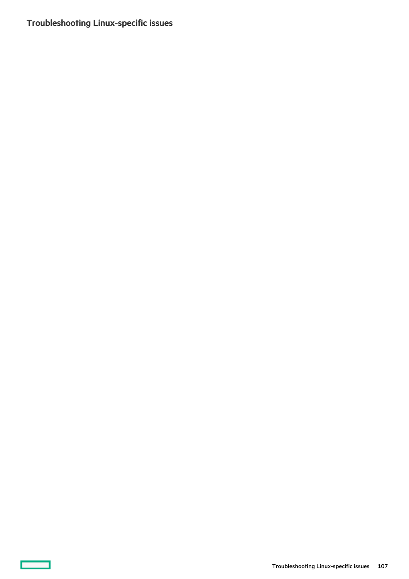# Troubleshooting Linux-specific issues

<u> a shekara t</u>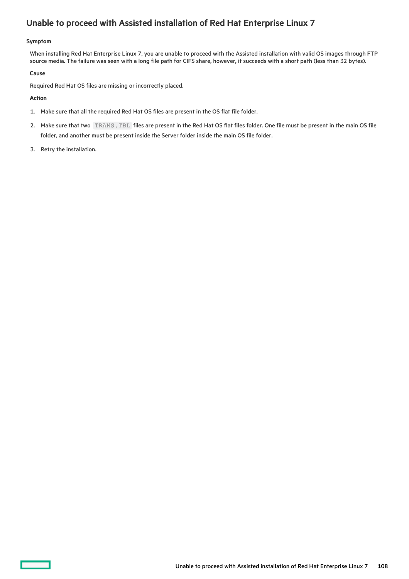### Unable to proceed with Assisted installation of Red Hat Enterprise Linux 7

### Symptom

When installing Red Hat Enterprise Linux 7, you are unable to proceed with the Assisted installation with valid OS images through FTP source media. The failure was seen with a long file path for CIFS share, however, it succeeds with a short path (less than 32 bytes).

#### Cause

Required Red Hat OS files are missing or incorrectly placed.

#### Action

- 1. Make sure that all the required Red Hat OS files are present in the OS flat file folder.
- 2. Make sure that two TRANS.TBL files are present in the Red Hat OS flat files folder. One file must be present in the main OS file folder, and another must be present inside the Server folder inside the main OS file folder.
- 3. Retry the installation.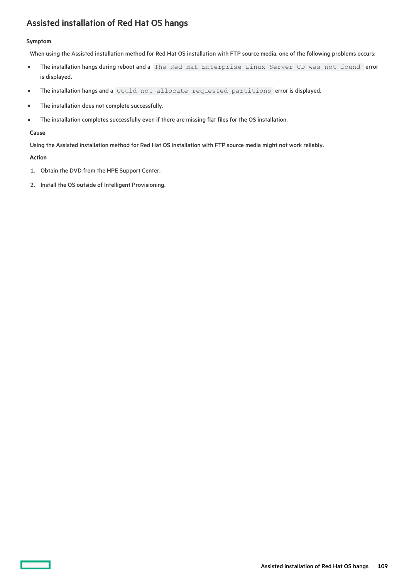## Assisted installation of Red Hat OS hangs

## Symptom

When using the Assisted installation method for Red Hat OS installation with FTP source media, one of the following problems occurs:

- $\bullet$ The installation hangs during reboot and a The Red Hat Enterprise Linux Server CD was not found error is displayed.
- The installation hangs and a Could not allocate requested partitions error is displayed.  $\bullet$
- The installation does not complete successfully.  $\bullet$
- The installation completes successfully even if there are missing flat files for the OS installation.  $\bullet$

### Cause

Using the Assisted installation method for Red Hat OS installation with FTP source media might not work reliably.

#### Action

- 1. Obtain the DVD from the HPE Support Center.
- 2. Install the OS outside of Intelligent Provisioning.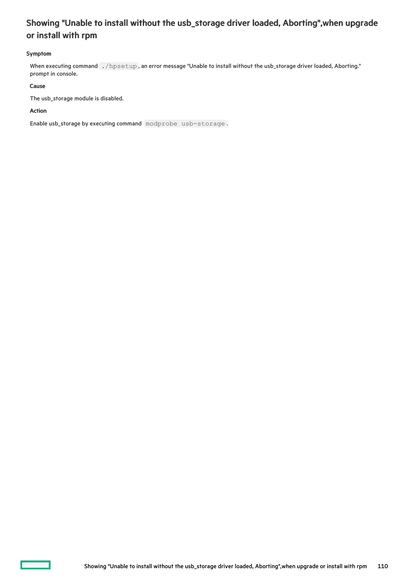## Showing "Unable to install without the usb\_storage driver loaded, Aborting",when upgrade or install with rpm

## Symptom

When executing command . /hpsetup, an error message "Unable to install without the usb\_storage driver loaded, Aborting." prompt in console.

#### Cause

The usb\_storage module is disabled.

#### Action

Enable usb\_storage by executing command modprobe usb-storage.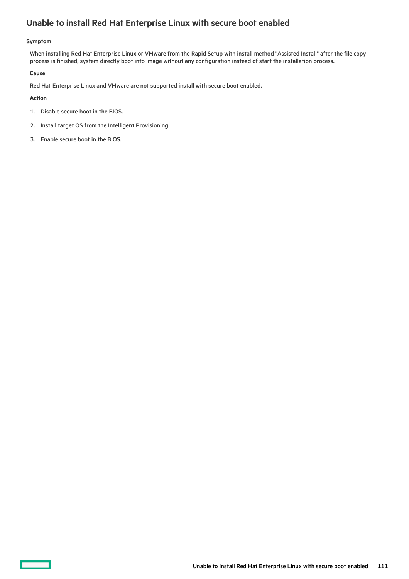## Unable to install Red Hat Enterprise Linux with secure boot enabled

## Symptom

When installing Red Hat Enterprise Linux or VMware from the Rapid Setup with install method "Assisted Install" after the file copy process is finished, system directly boot into Image without any configuration instead of start the installation process.

## Cause

Red Hat Enterprise Linux and VMware are not supported install with secure boot enabled.

## Action

- 1. Disable secure boot in the BIOS.
- 2. Install target OS from the Intelligent Provisioning.
- 3. Enable secure boot in the BIOS.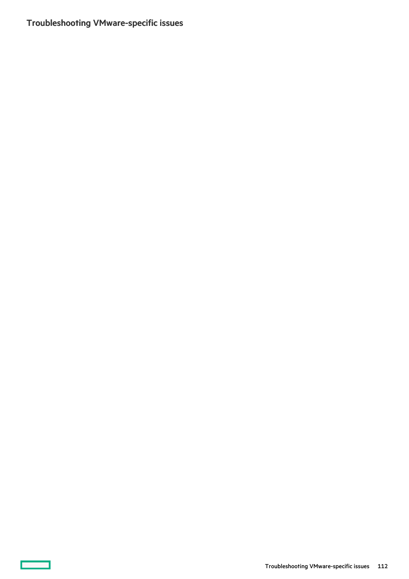# Troubleshooting VMware-specific issues

 $\overline{\phantom{a}}$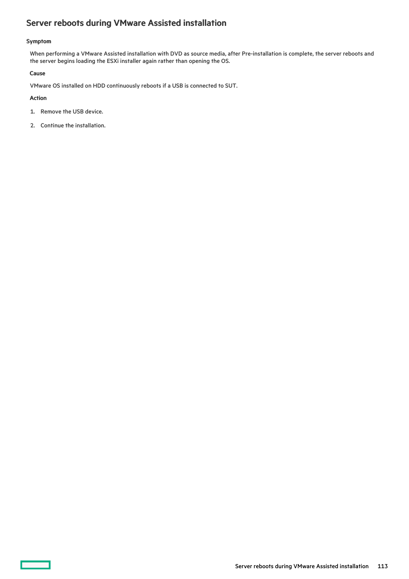## Server reboots during VMware Assisted installation

## Symptom

When performing a VMware Assisted installation with DVD as source media, after Pre-installation is complete, the server reboots and the server begins loading the ESXi installer again rather than opening the OS.

## Cause

VMware OS installed on HDD continuously reboots if a USB is connected to SUT.

## Action

─

- 1. Remove the USB device.
- 2. Continue the installation.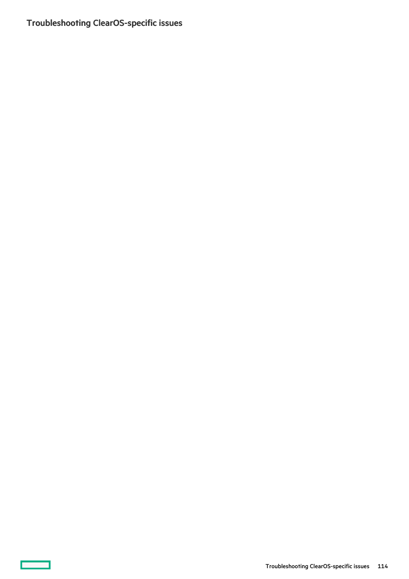# Troubleshooting ClearOS-specific issues

<u>a sa Ba</u>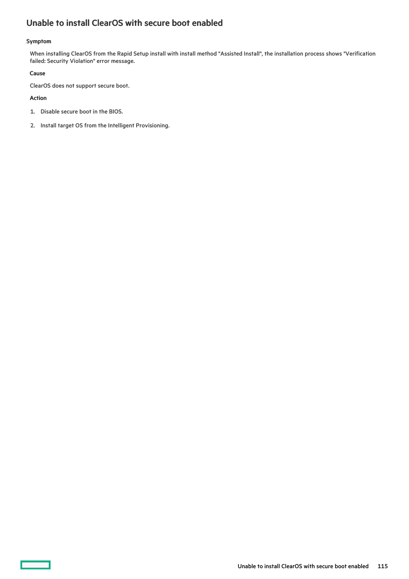## Unable to install ClearOS with secure boot enabled

## Symptom

When installing ClearOS from the Rapid Setup install with install method "Assisted Install", the installation process shows "Verification failed: Security Violation" error message.

## Cause

ClearOS does not support secure boot.

## Action

 $\overline{\phantom{0}}$ 

- 1. Disable secure boot in the BIOS.
- 2. Install target OS from the Intelligent Provisioning.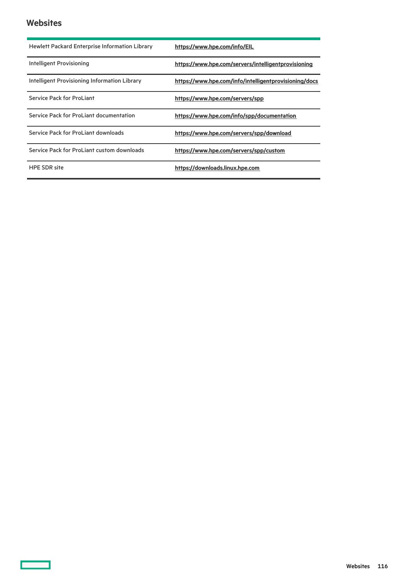## **Websites**

 $\overline{\phantom{0}}$ 

| <b>Hewlett Packard Enterprise Information Library</b> | https://www.hpe.com/info/EIL                          |
|-------------------------------------------------------|-------------------------------------------------------|
| Intelligent Provisioning                              | https://www.hpe.com/servers/intelligentprovisioning   |
| Intelligent Provisioning Information Library          | https://www.hpe.com/info/intelligentprovisioning/docs |
| <b>Service Pack for ProLiant</b>                      | https://www.hpe.com/servers/spp                       |
| Service Pack for ProLiant documentation               | https://www.hpe.com/info/spp/documentation            |
| Service Pack for ProLiant downloads                   | https://www.hpe.com/servers/spp/download              |
| Service Pack for ProLiant custom downloads            | https://www.hpe.com/servers/spp/custom                |
| <b>HPE SDR site</b>                                   | https://downloads.linux.hpe.com                       |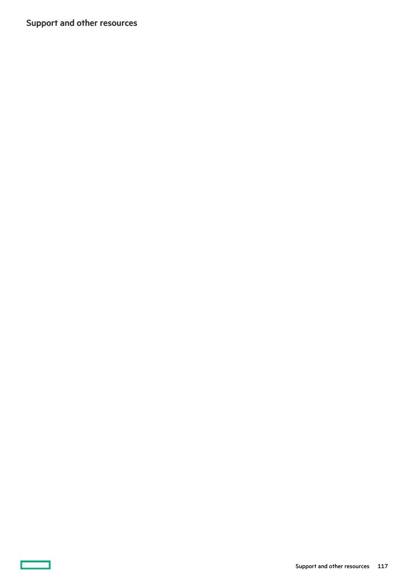Support and other resources

**The Common**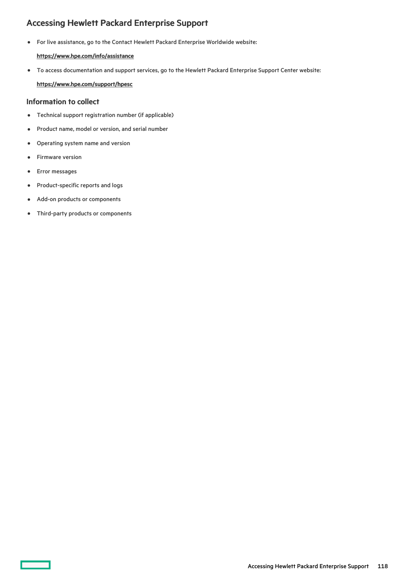## Accessing Hewlett Packard Enterprise Support

For live assistance, go to the Contact Hewlett Packard Enterprise Worldwide website:

## <https://www.hpe.com/info/assistance>

To access documentation and support services, go to the Hewlett Packard Enterprise Support Center website:  $\bullet$ <https://www.hpe.com/support/hpesc>

## Information to collect

- $\bullet$ Technical support registration number (if applicable)
- Product name, model or version, and serial number  $\bullet$
- Operating system name and version  $\bullet$
- Firmware version  $\bullet$
- Error messages  $\bullet$
- Product-specific reports and logs
- Add-on products or components  $\bullet$
- Third-party products or components  $\bullet$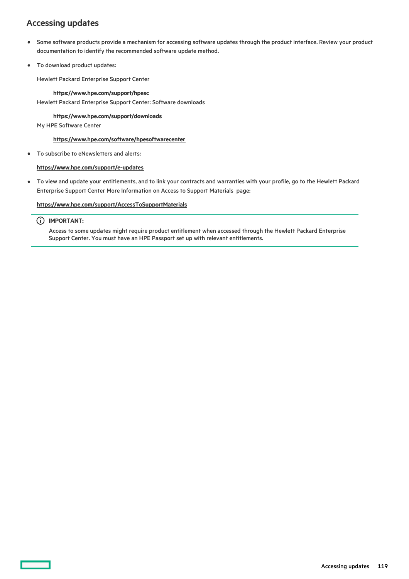## Accessing updates

- Some software products provide a mechanism for accessing software updates through the product interface. Review your product  $\bullet$ documentation to identify the recommended software update method.
- To download product updates:  $\bullet$

Hewlett Packard Enterprise Support Center

## <https://www.hpe.com/support/hpesc> Hewlett Packard Enterprise Support Center: Software downloads

## <https://www.hpe.com/support/downloads>

My HPE Software Center

## <https://www.hpe.com/software/hpesoftwarecenter>

To subscribe to eNewsletters and alerts:  $\bullet$ 

## <https://www.hpe.com/support/e-updates>

To view and update your entitlements, and to link your contracts and warranties with your profile, go to the Hewlett Packard  $\bullet$ Enterprise Support Center More Information on Access to Support Materials page:

## <https://www.hpe.com/support/AccessToSupportMaterials>

## IMPORTANT:

Access to some updates might require product entitlement when accessed through the Hewlett Packard Enterprise Support Center. You must have an HPE Passport set up with relevant entitlements.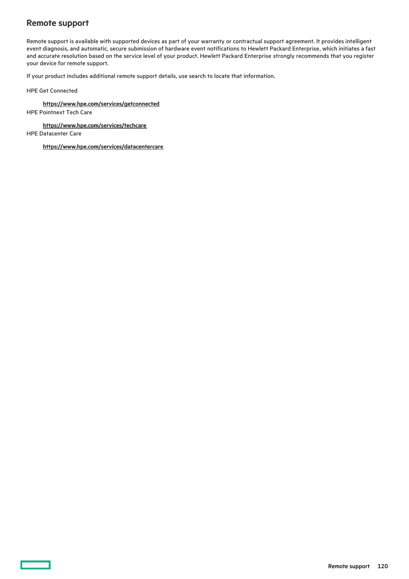## Remote support

Remote support is available with supported devices as part of your warranty or contractual support agreement. It provides intelligent event diagnosis, and automatic, secure submission of hardware event notifications to Hewlett Packard Enterprise, which initiates a fast and accurate resolution based on the service level of your product. Hewlett Packard Enterprise strongly recommends that you register your device for remote support.

If your product includes additional remote support details, use search to locate that information.

HPE Get Connected

### <https://www.hpe.com/services/getconnected>

HPE Pointnext Tech Care

## <https://www.hpe.com/services/techcare>

HPE Datacenter Care

<https://www.hpe.com/services/datacentercare>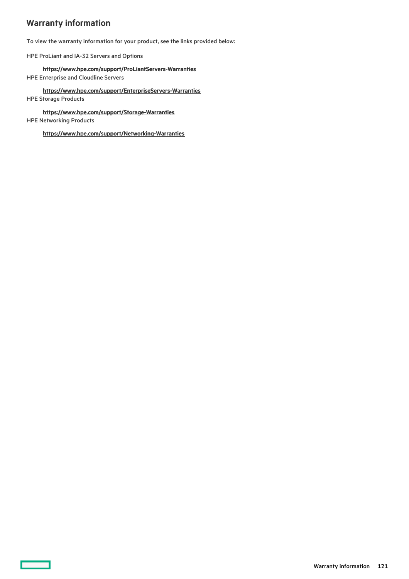## Warranty information

 $\overline{\phantom{0}}$ 

To view the warranty information for your product, see the links provided below:

HPE ProLiant and IA-32 Servers and Options

<https://www.hpe.com/support/ProLiantServers-Warranties> HPE Enterprise and Cloudline Servers

<https://www.hpe.com/support/EnterpriseServers-Warranties> HPE Storage Products

<https://www.hpe.com/support/Storage-Warranties> HPE Networking Products

<https://www.hpe.com/support/Networking-Warranties>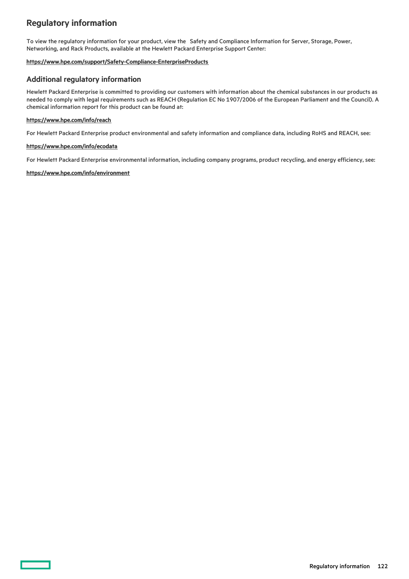## Regulatory information

To view the regulatory information for your product, view the Safety and Compliance Information for Server, Storage, Power, Networking, and Rack Products, available at the Hewlett Packard Enterprise Support Center:

### <https://www.hpe.com/support/Safety-Compliance-EnterpriseProducts>

## Additional regulatory information

Hewlett Packard Enterprise is committed to providing our customers with information about the chemical substances in our products as needed to comply with legal requirements such as REACH (Regulation EC No 1907/2006 of the European Parliament and the Council). A chemical information report for this product can be found at:

### <https://www.hpe.com/info/reach>

For Hewlett Packard Enterprise product environmental and safety information and compliance data, including RoHS and REACH, see:

## <https://www.hpe.com/info/ecodata>

For Hewlett Packard Enterprise environmental information, including company programs, product recycling, and energy efficiency, see:

### <https://www.hpe.com/info/environment>